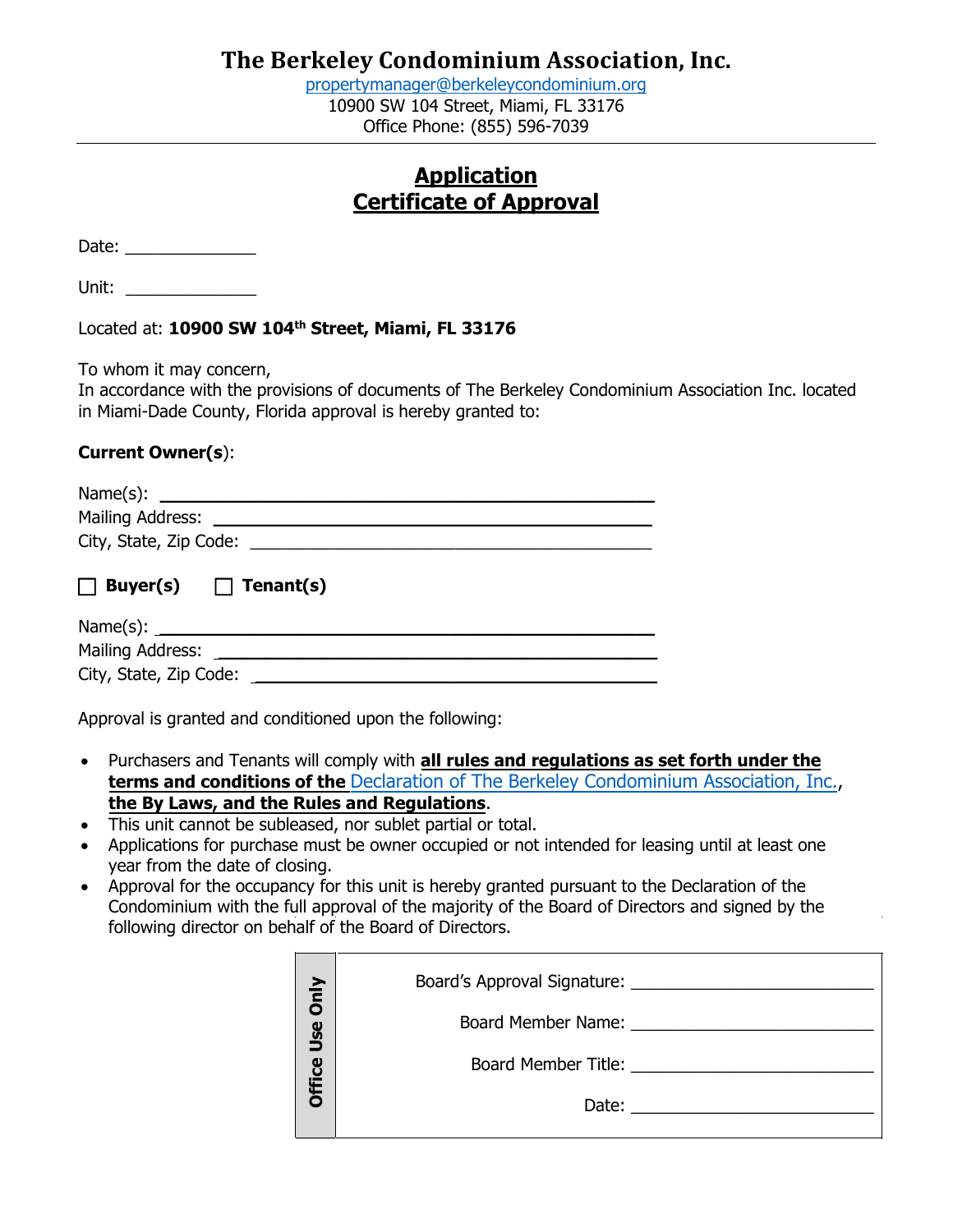[propertymanager@berkeleycondominium.org](mailto:propertymanager@berkeleycondominium.org) 10900 SW 104 Street, Miami, FL 33176 Office Phone: (855) 596-7039

### **Application Certificate of Approval**

Date: \_\_\_\_\_\_\_\_\_\_\_\_\_\_

Unit: \_\_\_\_\_\_\_\_\_\_\_\_\_\_

Located at: **10900 SW 104th Street, Miami, FL 33176**

To whom it may concern,

In accordance with the provisions of documents of The Berkeley Condominium Association Inc. located in Miami-Dade County, Florida approval is hereby granted to:

### **Current Owner(s**):

| Mailing Address:                      |  |
|---------------------------------------|--|
| City, State, Zip Code:                |  |
|                                       |  |
| Tenant(s)<br>Buyer(s)<br>$\mathbf{L}$ |  |

Name(s): \_\_\_\_\_\_\_\_\_\_\_\_\_\_\_\_\_\_\_\_\_\_\_\_\_\_\_\_\_\_\_\_\_\_\_\_\_\_\_\_\_\_\_\_\_\_\_\_\_\_\_\_\_ Mailing Address: <u>and the set of the set of the set of the set of the set of the set of the set of the set of the set of the set of the set of the set of the set of the set of the set of the set of the set of the set of th</u> City, State, Zip Code: \_\_\_\_\_\_\_\_\_\_\_\_\_\_\_\_\_\_\_\_\_\_\_\_\_\_\_\_\_\_\_\_\_\_\_\_\_\_\_\_\_\_\_

Approval is granted and conditioned upon the following:

- Purchasers and Tenants will comply with **all rules and regulations as set forth under the terms and conditions of the** Declaration of The [Berkeley Condominium](https://cdn.website-editor.net/c2a5f7b7e9b74e68aaccc60f75418cb6/files/uploaded/Berkeley%20Declaration%20of%20Condominium%20%282%29%20%281%29.pdf) Association, Inc., **the By Laws, and the Rules and Regulations**.
- This unit cannot be subleased, nor sublet partial or total.
- Applications for purchase must be owner occupied or not intended for leasing until at least one year from the date of closing.
- Approval for the occupancy for this unit is hereby granted pursuant to the Declaration of the Condominium with the full approval of the majority of the Board of Directors and signed by the following director on behalf of the Board of Directors.

| Only   | Board's Approval Signature: 2008 2010 2021 2022 2023 2024 2022 2023 2024 2022 2023 2024 2022 2023 2024 2022 20 |
|--------|----------------------------------------------------------------------------------------------------------------|
| Use    |                                                                                                                |
| Office | Board Member Title: 2008 2014 2022 2023 2024 2022 2023 2024 2022 2023 2024 2022 2023 2024 2025 2026 2027 2028  |
|        | Date:                                                                                                          |
|        |                                                                                                                |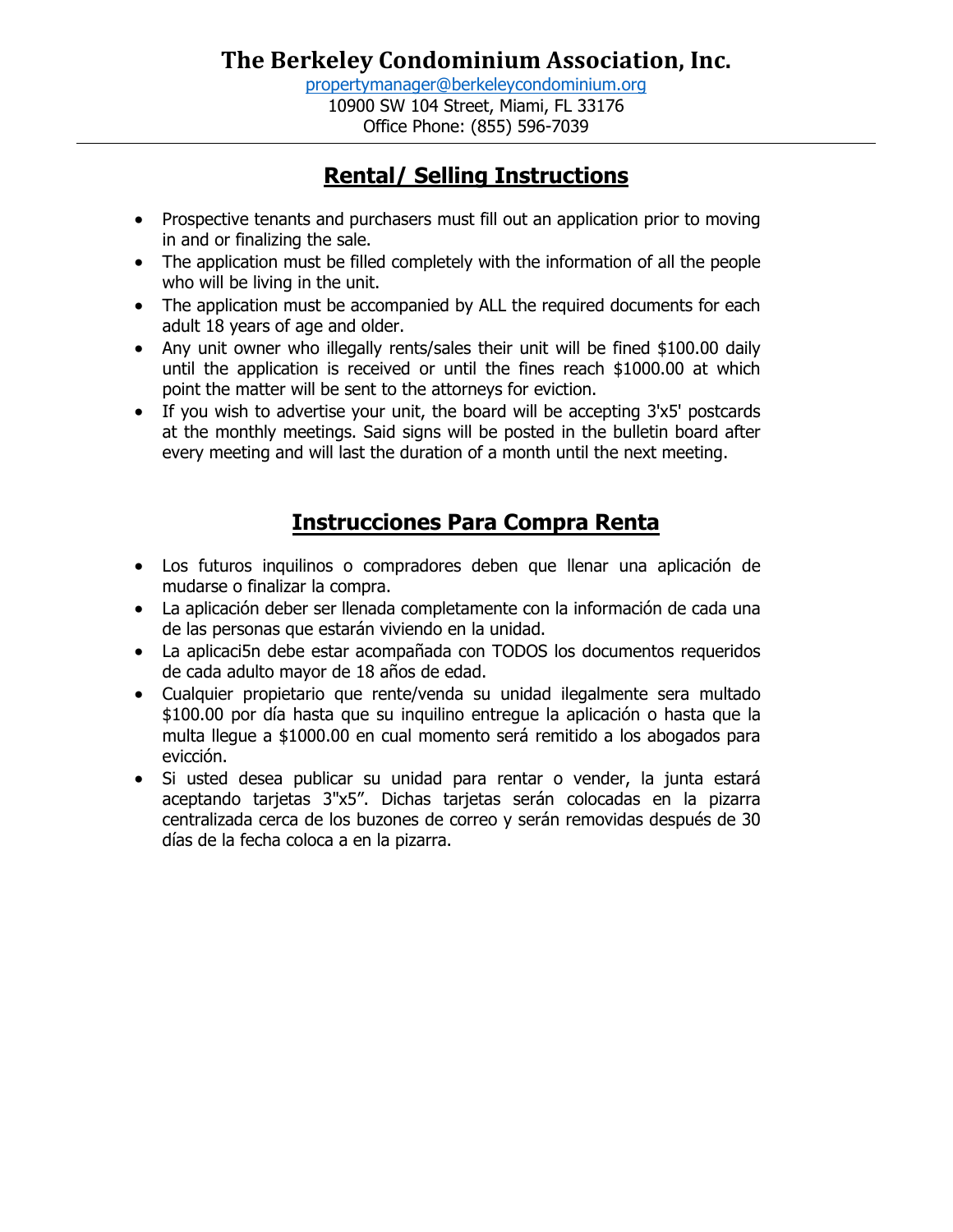[propertymanager@berkeleycondominium.org](mailto:propertymanager@berkeleycondominium.org) 10900 SW 104 Street, Miami, FL 33176 Office Phone: (855) 596-7039

# **Rental/ Selling Instructions**

- Prospective tenants and purchasers must fill out an application prior to moving in and or finalizing the sale.
- The application must be filled completely with the information of all the people who will be living in the unit.
- The application must be accompanied by ALL the required documents for each adult 18 years of age and older.
- Any unit owner who illegally rents/sales their unit will be fined \$100.00 daily until the application is received or until the fines reach \$1000.00 at which point the matter will be sent to the attorneys for eviction.
- If you wish to advertise your unit, the board will be accepting 3'x5' postcards at the monthly meetings. Said signs will be posted in the bulletin board after every meeting and will last the duration of a month until the next meeting.

# **Instrucciones Para Compra Renta**

- Los futuros inquilinos o compradores deben que llenar una aplicación de mudarse o finalizar la compra.
- La aplicación deber ser llenada completamente con la información de cada una de las personas que estarán viviendo en la unidad.
- La aplicaci5n debe estar acompañada con TODOS los documentos requeridos de cada adulto mayor de 18 años de edad.
- Cualquier propietario que rente/venda su unidad ilegalmente sera multado \$100.00 por día hasta que su inquilino entregue la aplicación o hasta que la multa llegue a \$1000.00 en cual momento será remitido a los abogados para evicción.
- Si usted desea publicar su unidad para rentar o vender, la junta estará aceptando tarjetas 3"x5". Dichas tarjetas serán colocadas en la pizarra centralizada cerca de los buzones de correo y serán removidas después de 30 días de la fecha coloca a en la pizarra.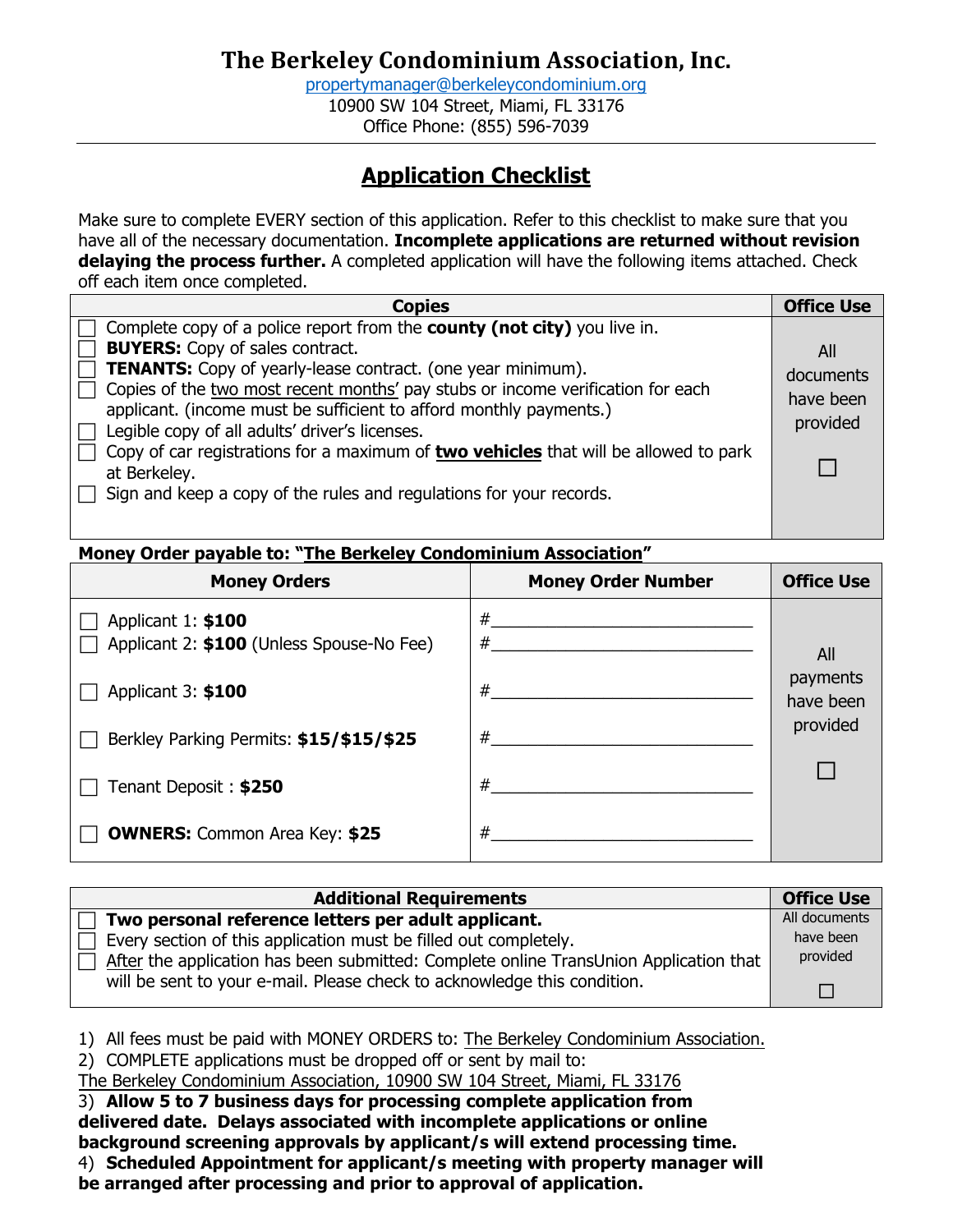[propertymanager@berkeleycondominium.org](mailto:propertymanager@berkeleycondominium.org) 10900 SW 104 Street, Miami, FL 33176 Office Phone: (855) 596-7039

# **Application Checklist**

Make sure to complete EVERY section of this application. Refer to this checklist to make sure that you have all of the necessary documentation. **Incomplete applications are returned without revision delaying the process further.** A completed application will have the following items attached. Check off each item once completed.

| <b>Copies</b>                                                                                                                                                                                                                                                                                                                                                                                                                                                                                                                                                                             | <b>Office Use</b>                         |
|-------------------------------------------------------------------------------------------------------------------------------------------------------------------------------------------------------------------------------------------------------------------------------------------------------------------------------------------------------------------------------------------------------------------------------------------------------------------------------------------------------------------------------------------------------------------------------------------|-------------------------------------------|
| Complete copy of a police report from the <b>county (not city)</b> you live in.<br><b>BUYERS:</b> Copy of sales contract.<br><b>TENANTS:</b> Copy of yearly-lease contract. (one year minimum).<br>Copies of the two most recent months' pay stubs or income verification for each<br>applicant. (income must be sufficient to afford monthly payments.)<br>Legible copy of all adults' driver's licenses.<br>Copy of car registrations for a maximum of two vehicles that will be allowed to park<br>at Berkeley.<br>Sign and keep a copy of the rules and regulations for your records. | All<br>documents<br>have been<br>provided |
|                                                                                                                                                                                                                                                                                                                                                                                                                                                                                                                                                                                           |                                           |

#### **Money Order payable to: "The Berkeley Condominium Association"**

| <b>Money Orders</b>                                             | <b>Money Order Number</b> | <b>Office Use</b>     |
|-----------------------------------------------------------------|---------------------------|-----------------------|
| Applicant 1: \$100<br>Applicant 2: \$100 (Unless Spouse-No Fee) | #<br>#                    | All                   |
| Applicant 3: \$100                                              | #                         | payments<br>have been |
| Berkley Parking Permits: \$15/\$15/\$25                         | #                         | provided              |
| Tenant Deposit: \$250                                           | #                         |                       |
| <b>OWNERS:</b> Common Area Key: \$25                            | #                         |                       |

| <b>Additional Requirements</b>                                                        | <b>Office Use</b> |
|---------------------------------------------------------------------------------------|-------------------|
| Two personal reference letters per adult applicant.                                   | All documents     |
| Every section of this application must be filled out completely.                      | have been         |
| After the application has been submitted: Complete online TransUnion Application that | provided          |
| will be sent to your e-mail. Please check to acknowledge this condition.              | П                 |

1) All fees must be paid with MONEY ORDERS to: The Berkeley Condominium Association.

2) COMPLETE applications must be dropped off or sent by mail to:

The Berkeley Condominium Association, 10900 SW 104 Street, Miami, FL 33176

3) **Allow 5 to 7 business days for processing complete application from delivered date. Delays associated with incomplete applications or online background screening approvals by applicant/s will extend processing time.**  4) **Scheduled Appointment for applicant/s meeting with property manager will** 

**be arranged after processing and prior to approval of application.**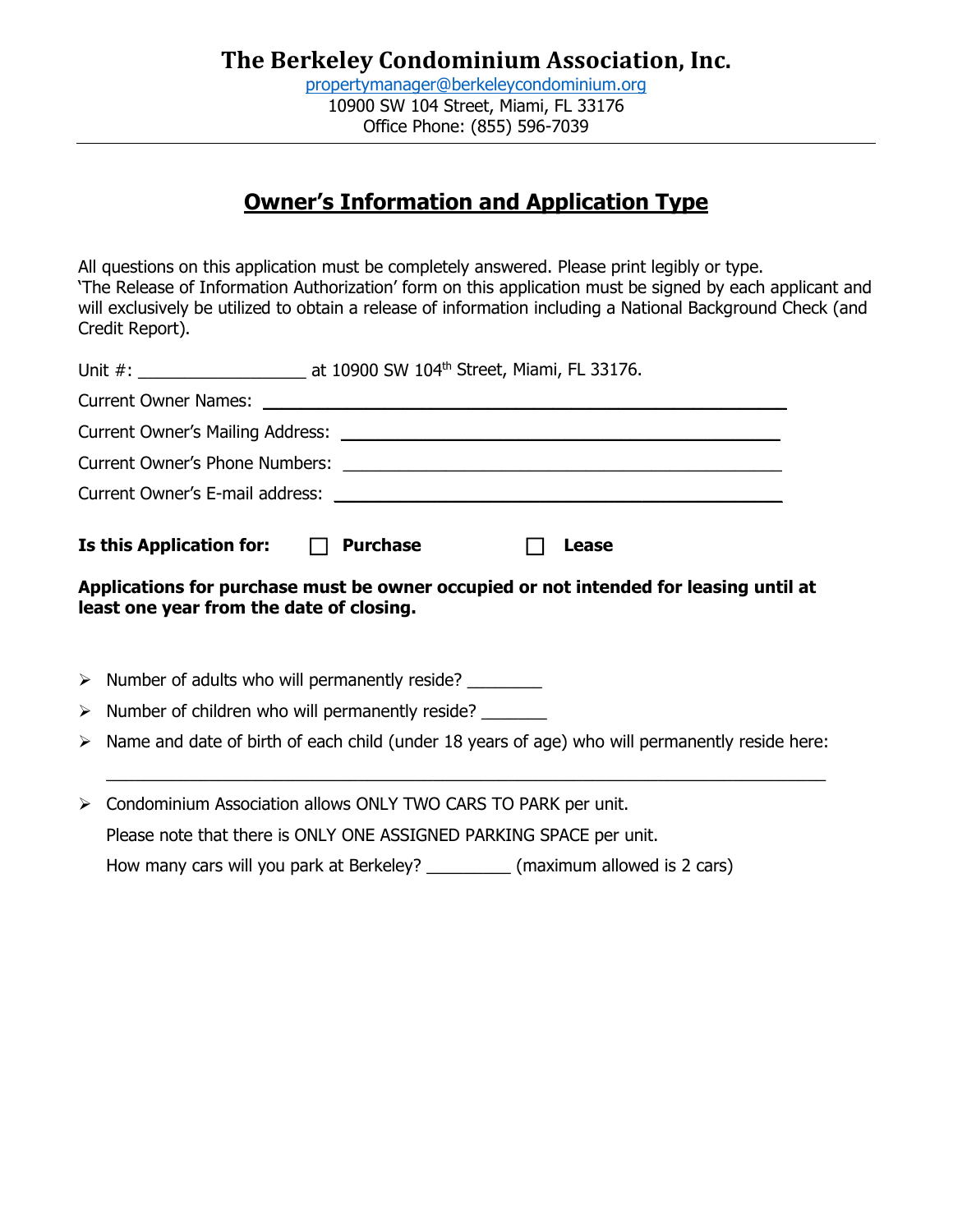# **Owner's Information and Application Type**

All questions on this application must be completely answered. Please print legibly or type. 'The Release of Information Authorization' form on this application must be signed by each applicant and will exclusively be utilized to obtain a release of information including a National Background Check (and Credit Report).

|   | Is this Application for: $\Box$ Purchase                                                                                          |  |  | Lease |  |  |
|---|-----------------------------------------------------------------------------------------------------------------------------------|--|--|-------|--|--|
|   | Applications for purchase must be owner occupied or not intended for leasing until at<br>least one year from the date of closing. |  |  |       |  |  |
|   | $\triangleright$ Number of adults who will permanently reside?                                                                    |  |  |       |  |  |
|   | $\triangleright$ Number of children who will permanently reside? ________                                                         |  |  |       |  |  |
|   | $\triangleright$ Name and date of birth of each child (under 18 years of age) who will permanently reside here:                   |  |  |       |  |  |
| ➤ | Condominium Association allows ONLY TWO CARS TO PARK per unit.                                                                    |  |  |       |  |  |
|   | Please note that there is ONLY ONE ASSIGNED PARKING SPACE per unit.                                                               |  |  |       |  |  |

How many cars will you park at Berkeley? (maximum allowed is 2 cars)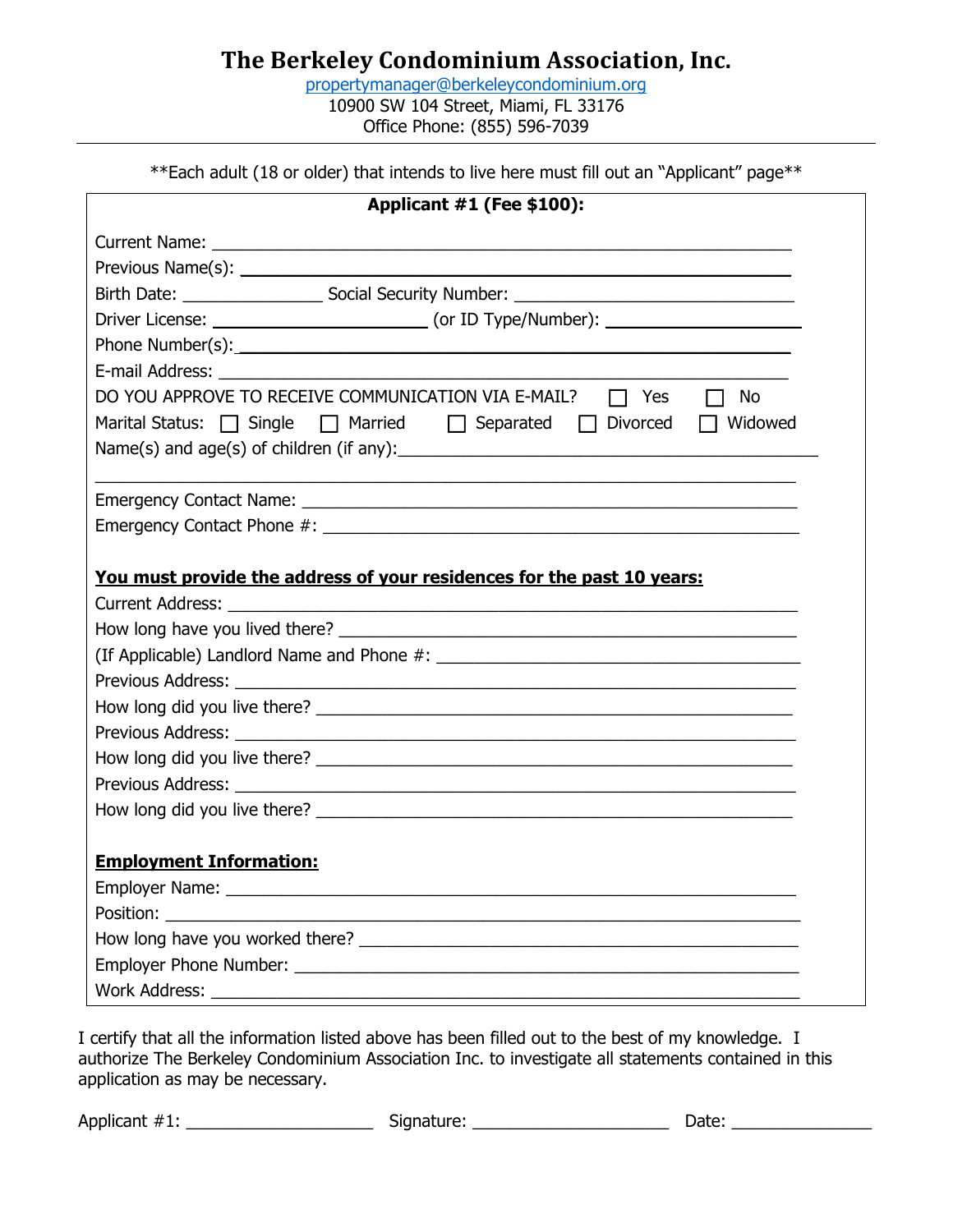[propertymanager@berkeleycondominium.org](mailto:propertymanager@berkeleycondominium.org) 10900 SW 104 Street, Miami, FL 33176 Office Phone: (855) 596-7039

\*\*Each adult (18 or older) that intends to live here must fill out an "Applicant" page\*\*

| Applicant #1 (Fee \$100):                                                                    |
|----------------------------------------------------------------------------------------------|
|                                                                                              |
|                                                                                              |
|                                                                                              |
|                                                                                              |
|                                                                                              |
| E-mail Address: <u>Communication</u> Contract Communication Communication Communication      |
| DO YOU APPROVE TO RECEIVE COMMUNICATION VIA E-MAIL? □ Yes □ No                               |
| Marital Status: $\Box$ Single $\Box$ Married $\Box$ Separated $\Box$ Divorced $\Box$ Widowed |
|                                                                                              |
|                                                                                              |
|                                                                                              |
|                                                                                              |
| You must provide the address of your residences for the past 10 years:                       |
|                                                                                              |
|                                                                                              |
|                                                                                              |
|                                                                                              |
|                                                                                              |
|                                                                                              |
|                                                                                              |
|                                                                                              |
|                                                                                              |
|                                                                                              |
| <b>Employment Information:</b>                                                               |
|                                                                                              |
| Position:                                                                                    |
|                                                                                              |
|                                                                                              |
|                                                                                              |

I certify that all the information listed above has been filled out to the best of my knowledge. I authorize The Berkeley Condominium Association Inc. to investigate all statements contained in this application as may be necessary.

Applicant #1: \_\_\_\_\_\_\_\_\_\_\_\_\_\_\_\_\_\_\_\_ Signature: \_\_\_\_\_\_\_\_\_\_\_\_\_\_\_\_\_\_\_\_\_ Date: \_\_\_\_\_\_\_\_\_\_\_\_\_\_\_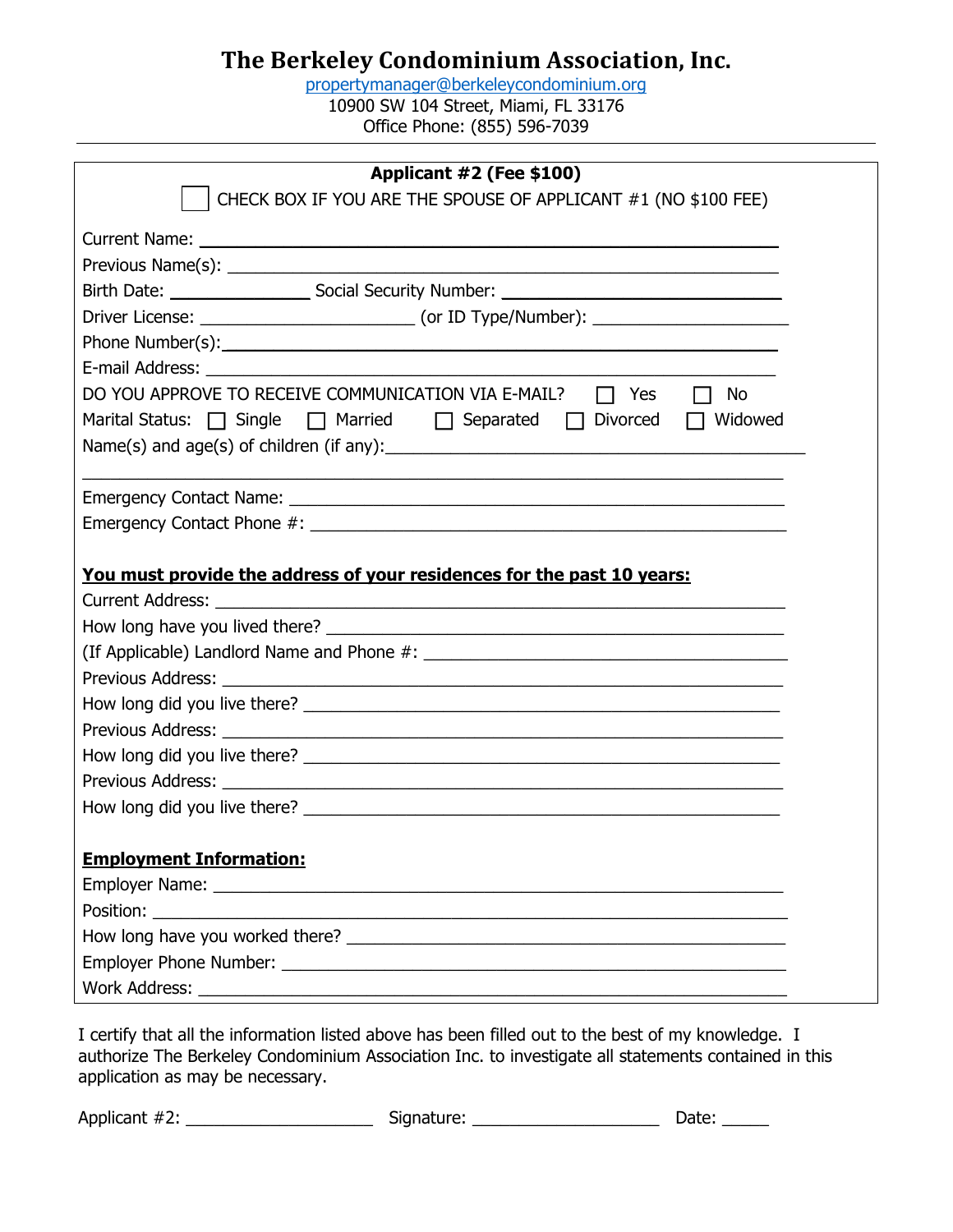[propertymanager@berkeleycondominium.org](mailto:propertymanager@berkeleycondominium.org) 10900 SW 104 Street, Miami, FL 33176 Office Phone: (855) 596-7039

| Applicant #2 (Fee \$100)                                                                                      |
|---------------------------------------------------------------------------------------------------------------|
| CHECK BOX IF YOU ARE THE SPOUSE OF APPLICANT #1 (NO \$100 FEE)                                                |
|                                                                                                               |
|                                                                                                               |
|                                                                                                               |
|                                                                                                               |
|                                                                                                               |
|                                                                                                               |
| DO YOU APPROVE TO RECEIVE COMMUNICATION VIA E-MAIL? □ Yes<br>$\Box$ No                                        |
| Marital Status: $\Box$ Single $\Box$ Married $\Box$ Separated $\Box$ Divorced<br>$\Box$ Widowed               |
| Name(s) and age(s) of children (if any): $\sqrt{\frac{2}{1-\frac{1}{2}}\left(\frac{1}{2}-\frac{1}{2}\right)}$ |
|                                                                                                               |
|                                                                                                               |
|                                                                                                               |
|                                                                                                               |
| You must provide the address of your residences for the past 10 years:                                        |
|                                                                                                               |
|                                                                                                               |
|                                                                                                               |
|                                                                                                               |
|                                                                                                               |
|                                                                                                               |
|                                                                                                               |
|                                                                                                               |
|                                                                                                               |
|                                                                                                               |
| <b>Employment Information:</b>                                                                                |
|                                                                                                               |
|                                                                                                               |
|                                                                                                               |
|                                                                                                               |
|                                                                                                               |

I certify that all the information listed above has been filled out to the best of my knowledge. I authorize The Berkeley Condominium Association Inc. to investigate all statements contained in this application as may be necessary.

Applicant #2: \_\_\_\_\_\_\_\_\_\_\_\_\_\_\_\_\_\_\_\_ Signature: \_\_\_\_\_\_\_\_\_\_\_\_\_\_\_\_\_\_\_\_ Date: \_\_\_\_\_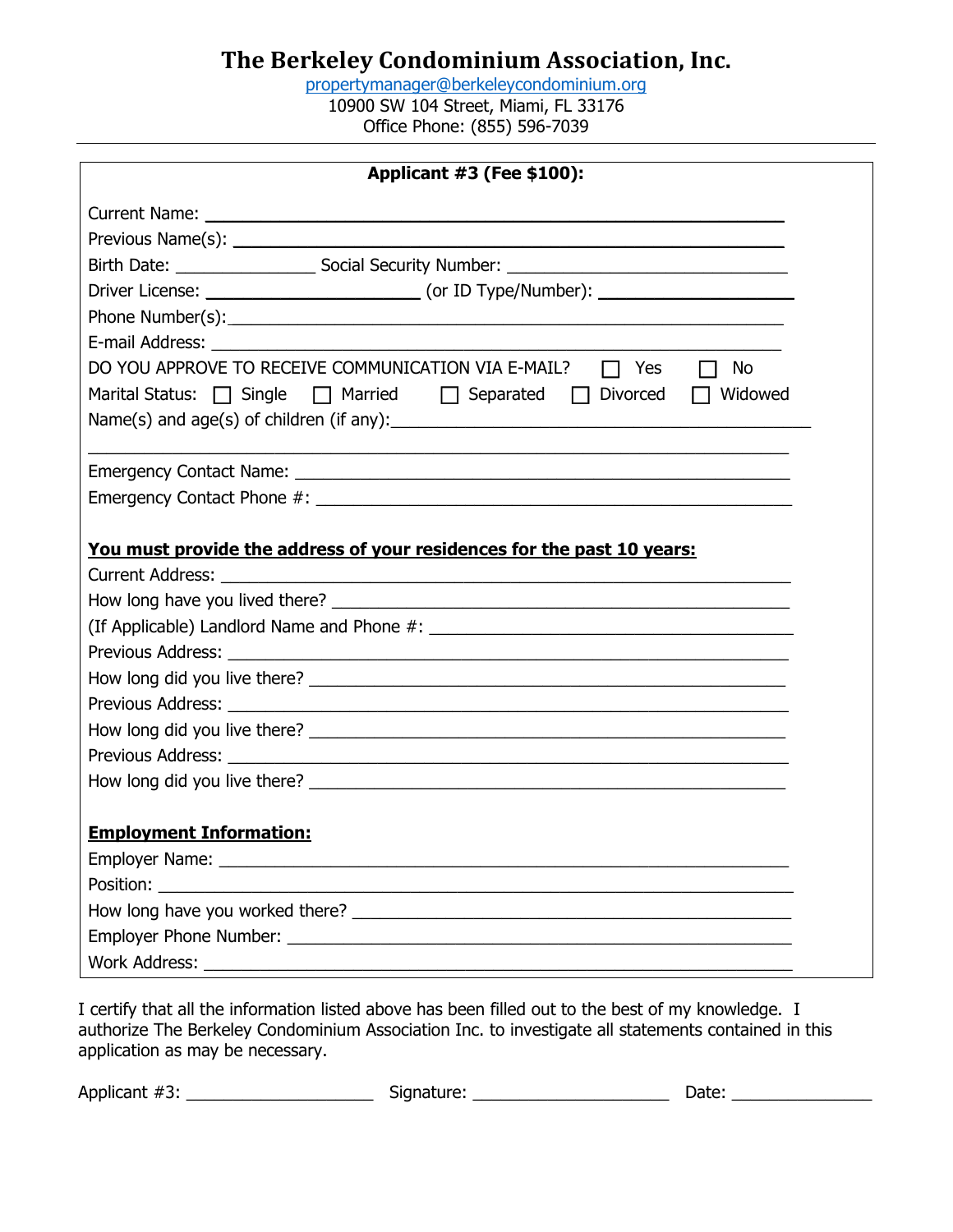[propertymanager@berkeleycondominium.org](mailto:propertymanager@berkeleycondominium.org) 10900 SW 104 Street, Miami, FL 33176 Office Phone: (855) 596-7039

| <b>Applicant #3 (Fee \$100):</b>                                                                            |  |  |
|-------------------------------------------------------------------------------------------------------------|--|--|
|                                                                                                             |  |  |
|                                                                                                             |  |  |
|                                                                                                             |  |  |
|                                                                                                             |  |  |
|                                                                                                             |  |  |
|                                                                                                             |  |  |
| DO YOU APPROVE TO RECEIVE COMMUNICATION VIA E-MAIL?<br>$\Box$ Yes<br>No<br>$\mathbf{1}$                     |  |  |
| Marital Status: $\bigcap$ Single $\bigcap$ Married $\bigcap$ Separated $\bigcap$ Divorced<br>$\Box$ Widowed |  |  |
| Name(s) and $age(s)$ of children (if any): $\Box$                                                           |  |  |
|                                                                                                             |  |  |
|                                                                                                             |  |  |
|                                                                                                             |  |  |
| You must provide the address of your residences for the past 10 years:                                      |  |  |
|                                                                                                             |  |  |
|                                                                                                             |  |  |
|                                                                                                             |  |  |
|                                                                                                             |  |  |
|                                                                                                             |  |  |
|                                                                                                             |  |  |
|                                                                                                             |  |  |
|                                                                                                             |  |  |
|                                                                                                             |  |  |
|                                                                                                             |  |  |
| <b>Employment Information:</b>                                                                              |  |  |
|                                                                                                             |  |  |
|                                                                                                             |  |  |
|                                                                                                             |  |  |
|                                                                                                             |  |  |
|                                                                                                             |  |  |

I certify that all the information listed above has been filled out to the best of my knowledge. I authorize The Berkeley Condominium Association Inc. to investigate all statements contained in this application as may be necessary.

Applicant #3: \_\_\_\_\_\_\_\_\_\_\_\_\_\_\_\_\_\_\_\_ Signature: \_\_\_\_\_\_\_\_\_\_\_\_\_\_\_\_\_\_\_\_\_ Date: \_\_\_\_\_\_\_\_\_\_\_\_\_\_\_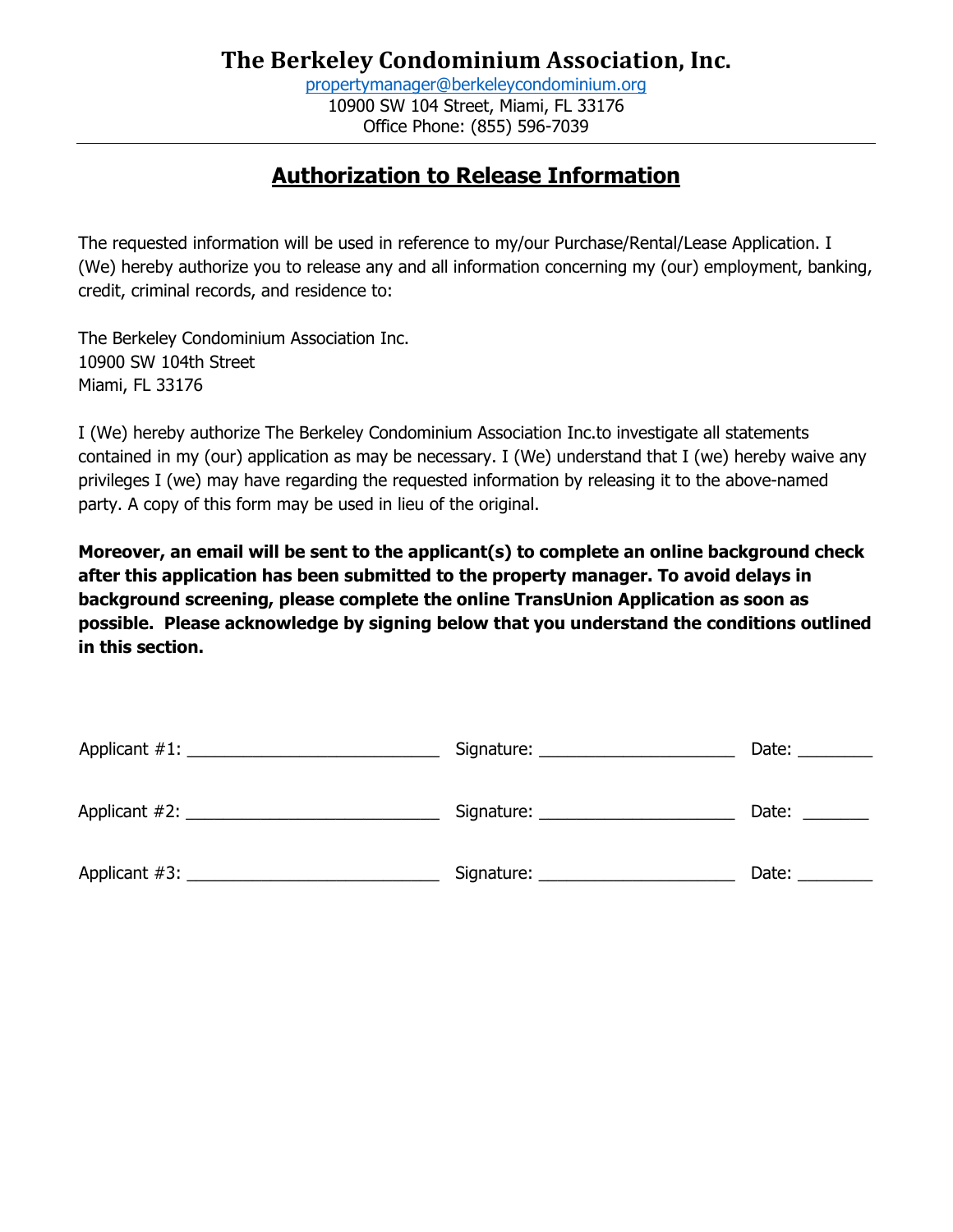[propertymanager@berkeleycondominium.org](mailto:propertymanager@berkeleycondominium.org) 10900 SW 104 Street, Miami, FL 33176 Office Phone: (855) 596-7039

# **Authorization to Release Information**

The requested information will be used in reference to my/our Purchase/Rental/Lease Application. I (We) hereby authorize you to release any and all information concerning my (our) employment, banking, credit, criminal records, and residence to:

The Berkeley Condominium Association Inc. 10900 SW 104th Street Miami, FL 33176

I (We) hereby authorize The Berkeley Condominium Association Inc.to investigate all statements contained in my (our) application as may be necessary. I (We) understand that I (we) hereby waive any privileges I (we) may have regarding the requested information by releasing it to the above-named party. A copy of this form may be used in lieu of the original.

**Moreover, an email will be sent to the applicant(s) to complete an online background check after this application has been submitted to the property manager. To avoid delays in background screening, please complete the online TransUnion Application as soon as possible. Please acknowledge by signing below that you understand the conditions outlined in this section.**

|               | Signature: ___________________ | Date: |
|---------------|--------------------------------|-------|
| Applicant #2: | Signature:                     | Date: |
| Applicant #3: | Signature: _________________   | Date: |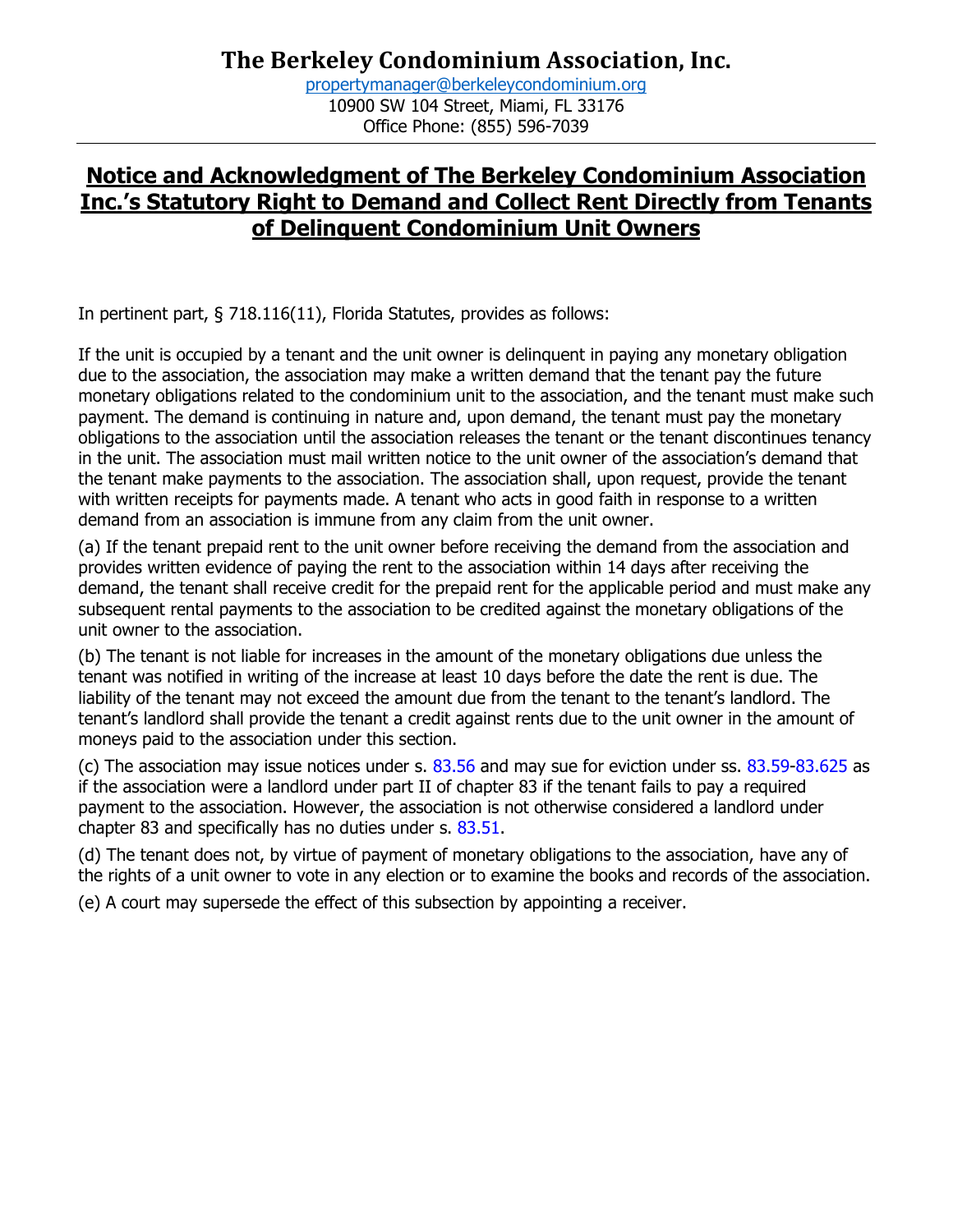[propertymanager@berkeleycondominium.org](mailto:propertymanager@berkeleycondominium.org) 10900 SW 104 Street, Miami, FL 33176 Office Phone: (855) 596-7039

## **Notice and Acknowledgment of The Berkeley Condominium Association Inc.'s Statutory Right to Demand and Collect Rent Directly from Tenants of Delinquent Condominium Unit Owners**

In pertinent part, § 718.116(11), Florida Statutes, provides as follows:

If the unit is occupied by a tenant and the unit owner is delinquent in paying any monetary obligation due to the association, the association may make a written demand that the tenant pay the future monetary obligations related to the condominium unit to the association, and the tenant must make such payment. The demand is continuing in nature and, upon demand, the tenant must pay the monetary obligations to the association until the association releases the tenant or the tenant discontinues tenancy in the unit. The association must mail written notice to the unit owner of the association's demand that the tenant make payments to the association. The association shall, upon request, provide the tenant with written receipts for payments made. A tenant who acts in good faith in response to a written demand from an association is immune from any claim from the unit owner.

(a) If the tenant prepaid rent to the unit owner before receiving the demand from the association and provides written evidence of paying the rent to the association within 14 days after receiving the demand, the tenant shall receive credit for the prepaid rent for the applicable period and must make any subsequent rental payments to the association to be credited against the monetary obligations of the unit owner to the association.

(b) The tenant is not liable for increases in the amount of the monetary obligations due unless the tenant was notified in writing of the increase at least 10 days before the date the rent is due. The liability of the tenant may not exceed the amount due from the tenant to the tenant's landlord. The tenant's landlord shall provide the tenant a credit against rents due to the unit owner in the amount of moneys paid to the association under this section.

(c) The association may issue notices under s. 83.56 and may sue for eviction under ss. 83.59-83.625 as if the association were a landlord under part II of chapter 83 if the tenant fails to pay a required payment to the association. However, the association is not otherwise considered a landlord under chapter 83 and specifically has no duties under s. 83.51.

(d) The tenant does not, by virtue of payment of monetary obligations to the association, have any of the rights of a unit owner to vote in any election or to examine the books and records of the association.

(e) A court may supersede the effect of this subsection by appointing a receiver.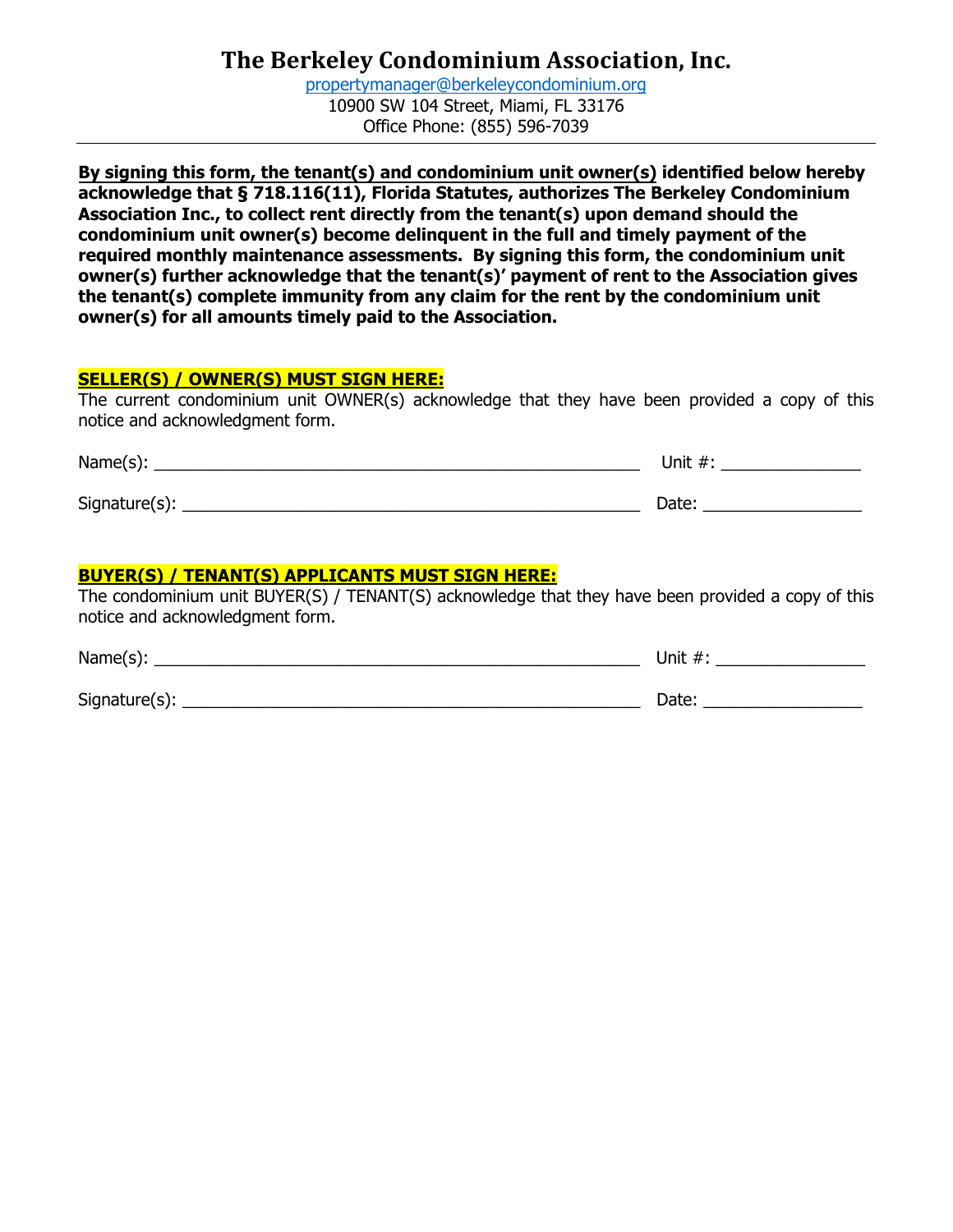[propertymanager@berkeleycondominium.org](mailto:propertymanager@berkeleycondominium.org) 10900 SW 104 Street, Miami, FL 33176 Office Phone: (855) 596-7039

**By signing this form, the tenant(s) and condominium unit owner(s) identified below hereby acknowledge that § 718.116(11), Florida Statutes, authorizes The Berkeley Condominium Association Inc., to collect rent directly from the tenant(s) upon demand should the condominium unit owner(s) become delinquent in the full and timely payment of the required monthly maintenance assessments. By signing this form, the condominium unit owner(s) further acknowledge that the tenant(s)' payment of rent to the Association gives the tenant(s) complete immunity from any claim for the rent by the condominium unit owner(s) for all amounts timely paid to the Association.**

#### **SELLER(S) / OWNER(S) MUST SIGN HERE:**

The current condominium unit OWNER(s) acknowledge that they have been provided a copy of this notice and acknowledgment form.

| Name(s):      | Unit $#$ : |
|---------------|------------|
| Signature(s): | Date:      |

#### **BUYER(S) / TENANT(S) APPLICANTS MUST SIGN HERE:**

The condominium unit BUYER(S) / TENANT(S) acknowledge that they have been provided a copy of this notice and acknowledgment form.

| Name $(s)$ :  | Unit $#$ : |
|---------------|------------|
| Signature(s): | Date:      |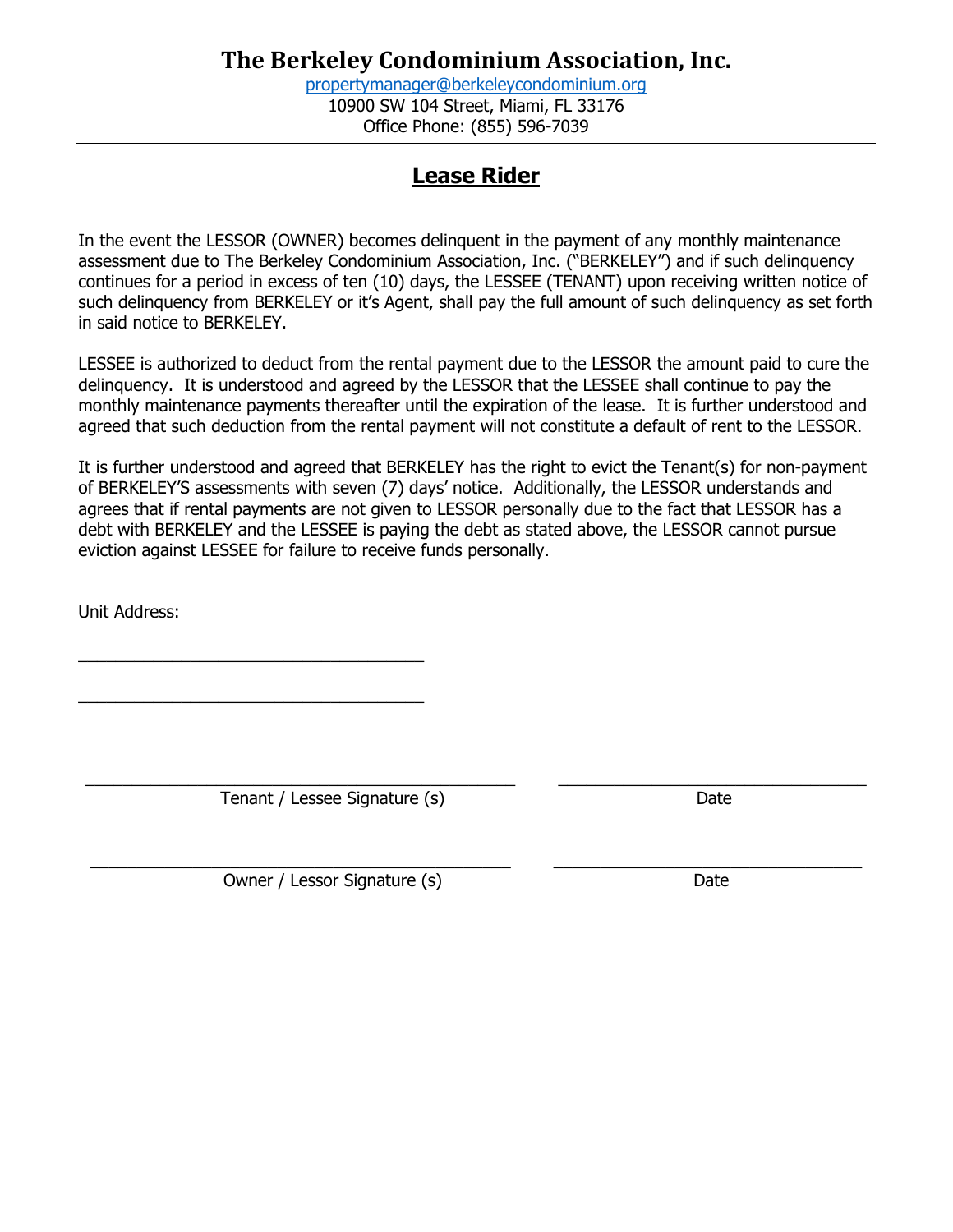[propertymanager@berkeleycondominium.org](mailto:propertymanager@berkeleycondominium.org) 10900 SW 104 Street, Miami, FL 33176 Office Phone: (855) 596-7039

## **Lease Rider**

In the event the LESSOR (OWNER) becomes delinquent in the payment of any monthly maintenance assessment due to The Berkeley Condominium Association, Inc. ("BERKELEY") and if such delinquency continues for a period in excess of ten (10) days, the LESSEE (TENANT) upon receiving written notice of such delinquency from BERKELEY or it's Agent, shall pay the full amount of such delinquency as set forth in said notice to BERKELEY.

LESSEE is authorized to deduct from the rental payment due to the LESSOR the amount paid to cure the delinquency. It is understood and agreed by the LESSOR that the LESSEE shall continue to pay the monthly maintenance payments thereafter until the expiration of the lease. It is further understood and agreed that such deduction from the rental payment will not constitute a default of rent to the LESSOR.

It is further understood and agreed that BERKELEY has the right to evict the Tenant(s) for non-payment of BERKELEY'S assessments with seven (7) days' notice. Additionally, the LESSOR understands and agrees that if rental payments are not given to LESSOR personally due to the fact that LESSOR has a debt with BERKELEY and the LESSEE is paying the debt as stated above, the LESSOR cannot pursue eviction against LESSEE for failure to receive funds personally.

Unit Address:

 $\_$  ,  $\_$  ,  $\_$  ,  $\_$  ,  $\_$  ,  $\_$  ,  $\_$  ,  $\_$  ,  $\_$  ,  $\_$  ,  $\_$  ,  $\_$  ,  $\_$  ,  $\_$  ,  $\_$  ,  $\_$  ,  $\_$  ,  $\_$  ,  $\_$  ,  $\_$  ,  $\_$  ,  $\_$  ,  $\_$  ,  $\_$  ,  $\_$  ,  $\_$  ,  $\_$  ,  $\_$  ,  $\_$  ,  $\_$  ,  $\_$  ,  $\_$  ,  $\_$  ,  $\_$  ,  $\_$  ,  $\_$  ,  $\_$  , Tenant / Lessee Signature (s) Date

 $\mathcal{L}_\text{max}$  , and the contract of the contract of  $\mathcal{L}_\text{max}$ 

 $\mathcal{L}_\text{max}$  , and the set of the set of the set of the set of the set of the set of the set of the set of the set of the set of the set of the set of the set of the set of the set of the set of the set of the set of the

 $\_$  ,  $\_$  ,  $\_$  ,  $\_$  ,  $\_$  ,  $\_$  ,  $\_$  ,  $\_$  ,  $\_$  ,  $\_$  ,  $\_$  ,  $\_$  ,  $\_$  ,  $\_$  ,  $\_$  ,  $\_$  ,  $\_$  ,  $\_$  ,  $\_$  ,  $\_$  ,  $\_$  ,  $\_$  ,  $\_$  ,  $\_$  ,  $\_$  ,  $\_$  ,  $\_$  ,  $\_$  ,  $\_$  ,  $\_$  ,  $\_$  ,  $\_$  ,  $\_$  ,  $\_$  ,  $\_$  ,  $\_$  ,  $\_$  , Owner / Lessor Signature (s) Date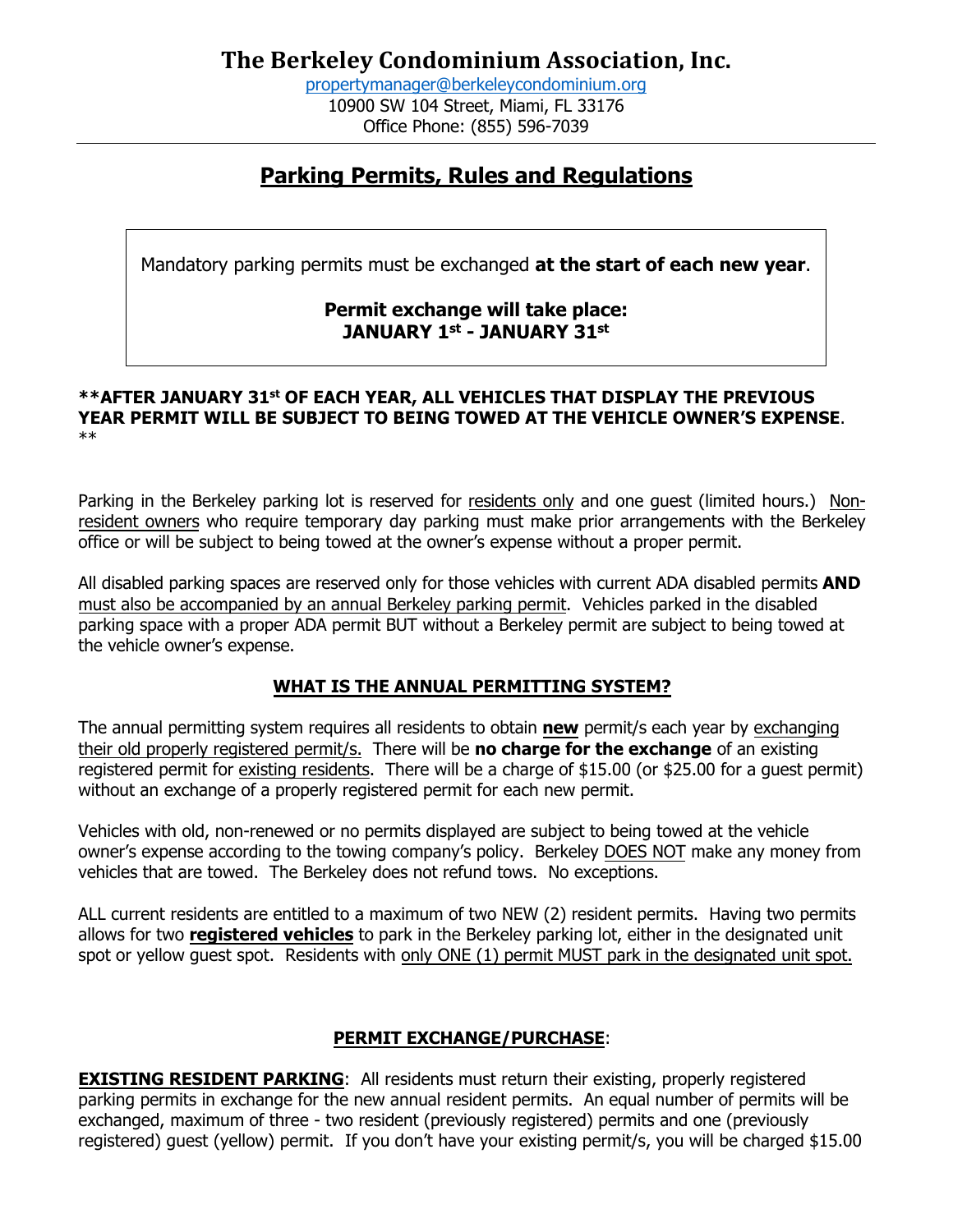[propertymanager@berkeleycondominium.org](mailto:propertymanager@berkeleycondominium.org) 10900 SW 104 Street, Miami, FL 33176 Office Phone: (855) 596-7039

## **Parking Permits, Rules and Regulations**

Mandatory parking permits must be exchanged **at the start of each new year**.

### **Permit exchange will take place: JANUARY 1st - JANUARY 31st**

#### **\*\*AFTER JANUARY 31st OF EACH YEAR, ALL VEHICLES THAT DISPLAY THE PREVIOUS YEAR PERMIT WILL BE SUBJECT TO BEING TOWED AT THE VEHICLE OWNER'S EXPENSE**. \*\*

Parking in the Berkeley parking lot is reserved for residents only and one guest (limited hours.) Nonresident owners who require temporary day parking must make prior arrangements with the Berkeley office or will be subject to being towed at the owner's expense without a proper permit.

All disabled parking spaces are reserved only for those vehicles with current ADA disabled permits **AND** must also be accompanied by an annual Berkeley parking permit. Vehicles parked in the disabled parking space with a proper ADA permit BUT without a Berkeley permit are subject to being towed at the vehicle owner's expense.

#### **WHAT IS THE ANNUAL PERMITTING SYSTEM?**

The annual permitting system requires all residents to obtain **new** permit/s each year by exchanging their old properly registered permit/s. There will be **no charge for the exchange** of an existing registered permit for existing residents. There will be a charge of \$15.00 (or \$25.00 for a guest permit) without an exchange of a properly registered permit for each new permit.

Vehicles with old, non-renewed or no permits displayed are subject to being towed at the vehicle owner's expense according to the towing company's policy. Berkeley DOES NOT make any money from vehicles that are towed. The Berkeley does not refund tows. No exceptions.

ALL current residents are entitled to a maximum of two NEW (2) resident permits. Having two permits allows for two **registered vehicles** to park in the Berkeley parking lot, either in the designated unit spot or yellow guest spot. Residents with only ONE (1) permit MUST park in the designated unit spot.

#### **PERMIT EXCHANGE/PURCHASE**:

**EXISTING RESIDENT PARKING:** All residents must return their existing, properly registered parking permits in exchange for the new annual resident permits. An equal number of permits will be exchanged, maximum of three - two resident (previously registered) permits and one (previously registered) guest (yellow) permit. If you don't have your existing permit/s, you will be charged \$15.00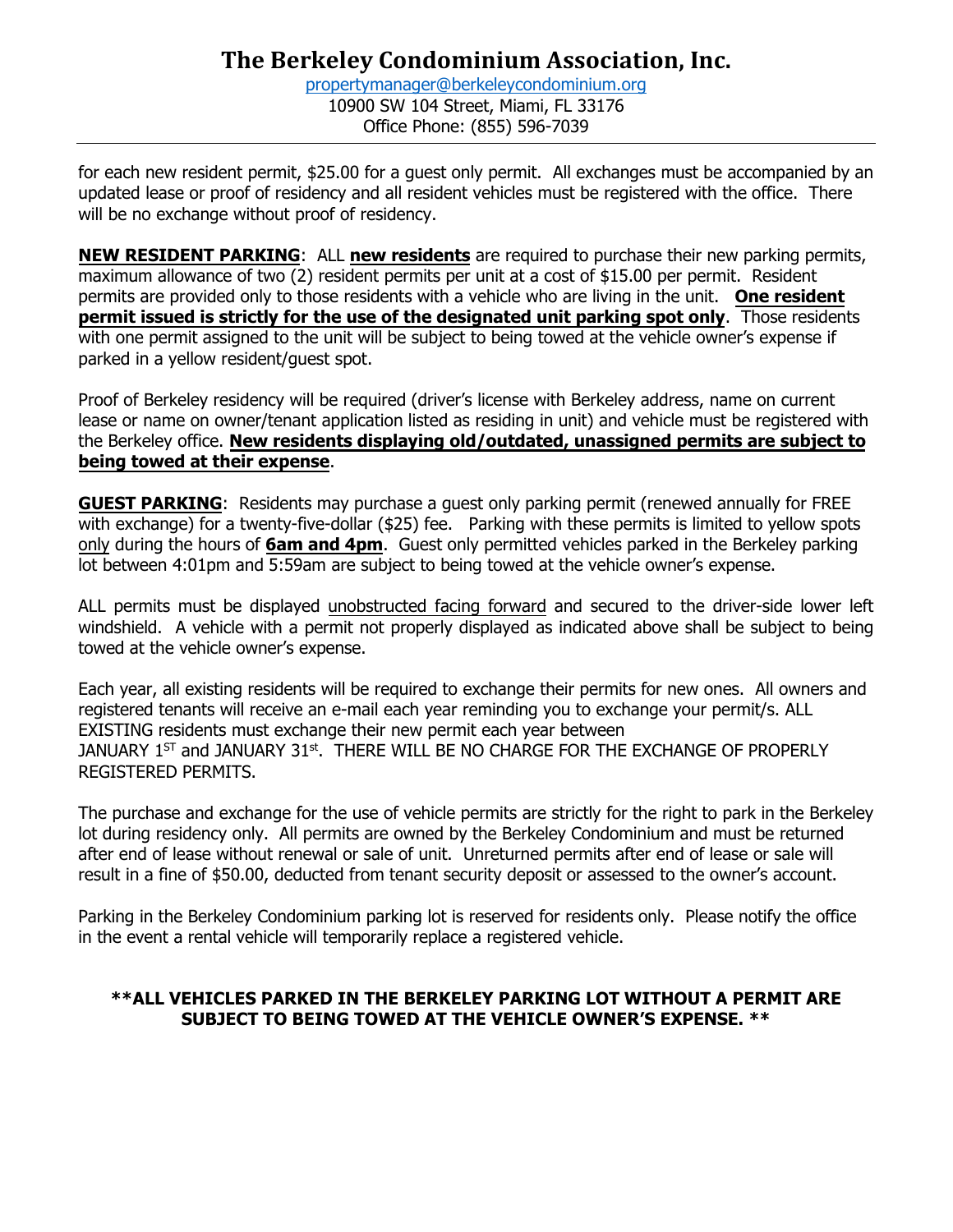[propertymanager@berkeleycondominium.org](mailto:propertymanager@berkeleycondominium.org) 10900 SW 104 Street, Miami, FL 33176 Office Phone: (855) 596-7039

for each new resident permit, \$25.00 for a guest only permit. All exchanges must be accompanied by an updated lease or proof of residency and all resident vehicles must be registered with the office. There will be no exchange without proof of residency.

**NEW RESIDENT PARKING**: ALL **new residents** are required to purchase their new parking permits, maximum allowance of two (2) resident permits per unit at a cost of \$15.00 per permit. Resident permits are provided only to those residents with a vehicle who are living in the unit. **One resident permit issued is strictly for the use of the designated unit parking spot only**. Those residents with one permit assigned to the unit will be subject to being towed at the vehicle owner's expense if parked in a yellow resident/guest spot.

Proof of Berkeley residency will be required (driver's license with Berkeley address, name on current lease or name on owner/tenant application listed as residing in unit) and vehicle must be registered with the Berkeley office. **New residents displaying old/outdated, unassigned permits are subject to being towed at their expense**.

**GUEST PARKING**: Residents may purchase a guest only parking permit (renewed annually for FREE with exchange) for a twenty-five-dollar (\$25) fee. Parking with these permits is limited to yellow spots only during the hours of **6am and 4pm**. Guest only permitted vehicles parked in the Berkeley parking lot between 4:01pm and 5:59am are subject to being towed at the vehicle owner's expense.

ALL permits must be displayed unobstructed facing forward and secured to the driver-side lower left windshield. A vehicle with a permit not properly displayed as indicated above shall be subject to being towed at the vehicle owner's expense.

Each year, all existing residents will be required to exchange their permits for new ones. All owners and registered tenants will receive an e-mail each year reminding you to exchange your permit/s. ALL EXISTING residents must exchange their new permit each year between JANUARY  $1^\text{ST}$  and JANUARY  $31^\text{st}$ . THERE WILL BE NO CHARGE FOR THE EXCHANGE OF PROPERLY REGISTERED PERMITS.

The purchase and exchange for the use of vehicle permits are strictly for the right to park in the Berkeley lot during residency only. All permits are owned by the Berkeley Condominium and must be returned after end of lease without renewal or sale of unit. Unreturned permits after end of lease or sale will result in a fine of \$50.00, deducted from tenant security deposit or assessed to the owner's account.

Parking in the Berkeley Condominium parking lot is reserved for residents only. Please notify the office in the event a rental vehicle will temporarily replace a registered vehicle.

#### **\*\*ALL VEHICLES PARKED IN THE BERKELEY PARKING LOT WITHOUT A PERMIT ARE SUBJECT TO BEING TOWED AT THE VEHICLE OWNER'S EXPENSE. \*\***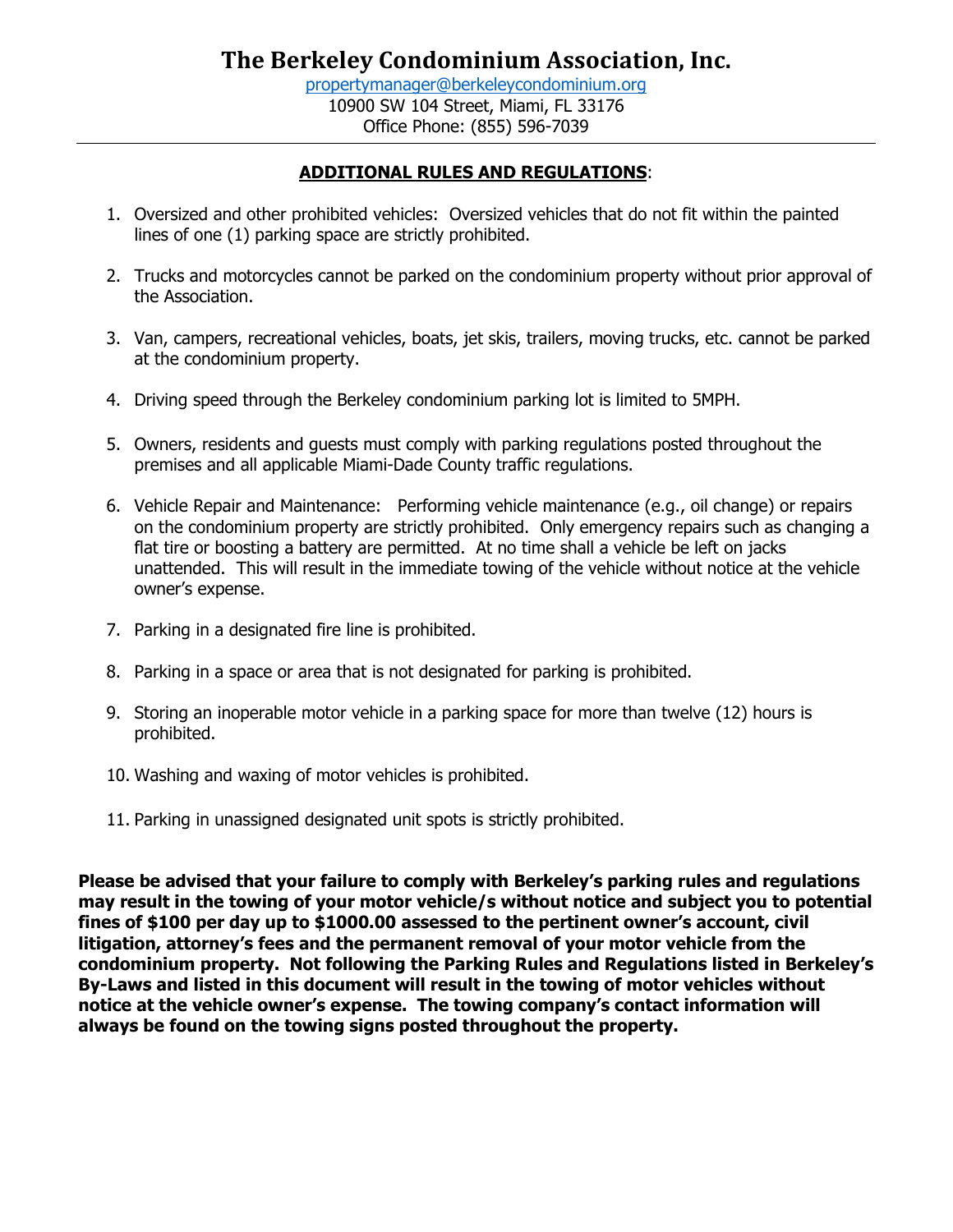#### **ADDITIONAL RULES AND REGULATIONS**:

- 1. Oversized and other prohibited vehicles: Oversized vehicles that do not fit within the painted lines of one (1) parking space are strictly prohibited.
- 2. Trucks and motorcycles cannot be parked on the condominium property without prior approval of the Association.
- 3. Van, campers, recreational vehicles, boats, jet skis, trailers, moving trucks, etc. cannot be parked at the condominium property.
- 4. Driving speed through the Berkeley condominium parking lot is limited to 5MPH.
- 5. Owners, residents and guests must comply with parking regulations posted throughout the premises and all applicable Miami-Dade County traffic regulations.
- 6. Vehicle Repair and Maintenance: Performing vehicle maintenance (e.g., oil change) or repairs on the condominium property are strictly prohibited. Only emergency repairs such as changing a flat tire or boosting a battery are permitted. At no time shall a vehicle be left on jacks unattended. This will result in the immediate towing of the vehicle without notice at the vehicle owner's expense.
- 7. Parking in a designated fire line is prohibited.
- 8. Parking in a space or area that is not designated for parking is prohibited.
- 9. Storing an inoperable motor vehicle in a parking space for more than twelve (12) hours is prohibited.
- 10. Washing and waxing of motor vehicles is prohibited.
- 11. Parking in unassigned designated unit spots is strictly prohibited.

**Please be advised that your failure to comply with Berkeley's parking rules and regulations may result in the towing of your motor vehicle/s without notice and subject you to potential fines of \$100 per day up to \$1000.00 assessed to the pertinent owner's account, civil litigation, attorney's fees and the permanent removal of your motor vehicle from the condominium property. Not following the Parking Rules and Regulations listed in Berkeley's By-Laws and listed in this document will result in the towing of motor vehicles without notice at the vehicle owner's expense. The towing company's contact information will always be found on the towing signs posted throughout the property.**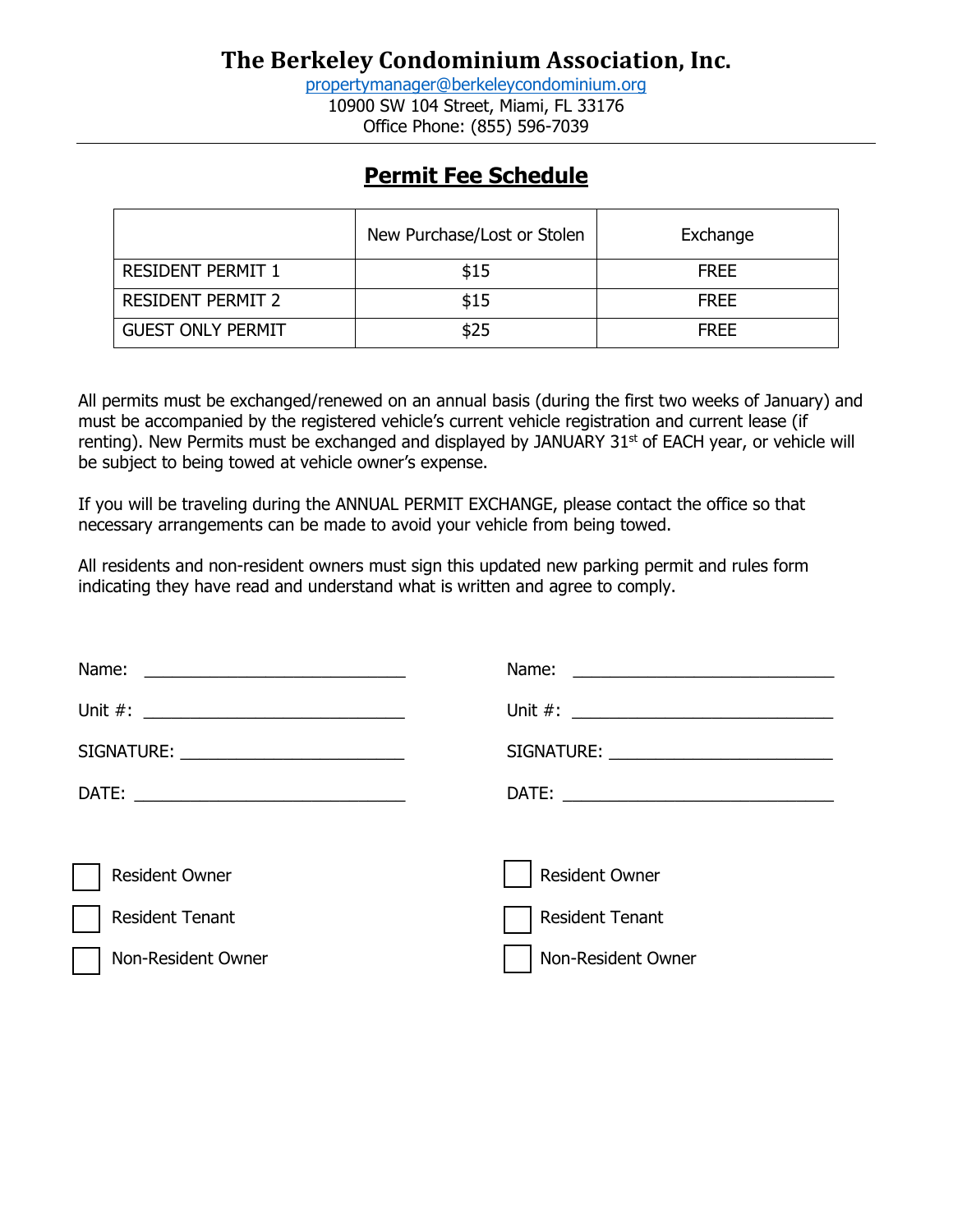[propertymanager@berkeleycondominium.org](mailto:propertymanager@berkeleycondominium.org) 10900 SW 104 Street, Miami, FL 33176 Office Phone: (855) 596-7039

### **Permit Fee Schedule**

|                          | New Purchase/Lost or Stolen | Exchange    |
|--------------------------|-----------------------------|-------------|
| <b>RESIDENT PERMIT 1</b> | \$15                        | <b>FREE</b> |
| <b>RESIDENT PERMIT 2</b> | \$15                        | <b>FREE</b> |
| <b>GUEST ONLY PERMIT</b> | \$25                        | <b>FRFF</b> |

All permits must be exchanged/renewed on an annual basis (during the first two weeks of January) and must be accompanied by the registered vehicle's current vehicle registration and current lease (if renting). New Permits must be exchanged and displayed by JANUARY 31<sup>st</sup> of EACH year, or vehicle will be subject to being towed at vehicle owner's expense.

If you will be traveling during the ANNUAL PERMIT EXCHANGE, please contact the office so that necessary arrangements can be made to avoid your vehicle from being towed.

All residents and non-resident owners must sign this updated new parking permit and rules form indicating they have read and understand what is written and agree to comply.

| Name:<br><u> 1989 - Johann Harry Harry Harry Harry Harry Harry Harry Harry Harry Harry Harry Harry Harry Harry Harry Harry</u> | Name:<br><u> 1980 - Andrea Stationer, fransk politiker (d. 1980)</u> |
|--------------------------------------------------------------------------------------------------------------------------------|----------------------------------------------------------------------|
|                                                                                                                                |                                                                      |
|                                                                                                                                |                                                                      |
|                                                                                                                                |                                                                      |
|                                                                                                                                |                                                                      |
| <b>Resident Owner</b>                                                                                                          | <b>Resident Owner</b>                                                |
| <b>Resident Tenant</b>                                                                                                         | <b>Resident Tenant</b>                                               |
| Non-Resident Owner                                                                                                             | Non-Resident Owner                                                   |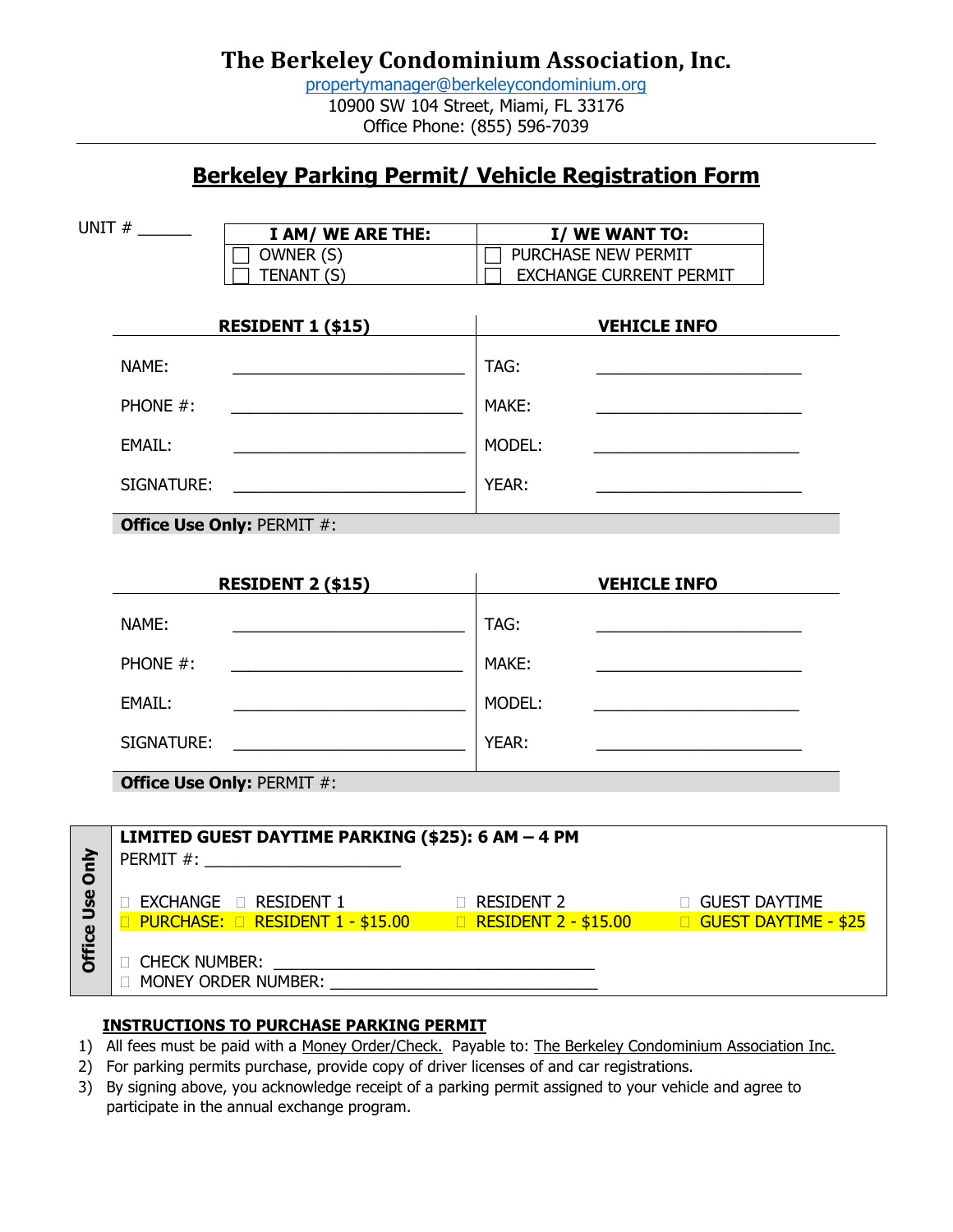[propertymanager@berkeleycondominium.org](mailto:propertymanager@berkeleycondominium.org) 10900 SW 104 Street, Miami, FL 33176 Office Phone: (855) 596-7039

### **Berkeley Parking Permit/ Vehicle Registration Form**

|                 | UNIT $#$               | I AM/ WE ARE THE:                                                                                                                                                                                                                   |        | I/ WE WANT TO:                                                                         |
|-----------------|------------------------|-------------------------------------------------------------------------------------------------------------------------------------------------------------------------------------------------------------------------------------|--------|----------------------------------------------------------------------------------------|
|                 |                        | OWNER (S)                                                                                                                                                                                                                           |        | T PURCHASE NEW PERMIT                                                                  |
|                 |                        | TENANT (S)                                                                                                                                                                                                                          |        | <b>EXCHANGE CURRENT PERMIT</b>                                                         |
|                 |                        |                                                                                                                                                                                                                                     |        |                                                                                        |
|                 |                        | <b>RESIDENT 1 (\$15)</b>                                                                                                                                                                                                            |        | <b>VEHICLE INFO</b>                                                                    |
|                 | NAME:                  |                                                                                                                                                                                                                                     | TAG:   |                                                                                        |
|                 | PHONE #:               |                                                                                                                                                                                                                                     | MAKE:  |                                                                                        |
|                 | EMAIL:                 |                                                                                                                                                                                                                                     | MODEL: |                                                                                        |
|                 | SIGNATURE:             | <u> 1980 - Jan Samuel Barbara, politik eta politik eta politik eta politik eta politik eta politik eta politik e</u>                                                                                                                | YEAR:  |                                                                                        |
|                 |                        | <b>Office Use Only: PERMIT #:</b>                                                                                                                                                                                                   |        |                                                                                        |
|                 |                        |                                                                                                                                                                                                                                     |        |                                                                                        |
|                 |                        | <b>RESIDENT 2 (\$15)</b>                                                                                                                                                                                                            |        | <b>VEHICLE INFO</b>                                                                    |
|                 | NAME:                  |                                                                                                                                                                                                                                     | TAG:   |                                                                                        |
|                 | PHONE #:               | <u> 1989 - Johann Barbara, martxa alemaniar a</u>                                                                                                                                                                                   | MAKE:  |                                                                                        |
|                 | EMAIL:                 |                                                                                                                                                                                                                                     | MODEL: |                                                                                        |
|                 | SIGNATURE:             | <u> 1980 - Jan Barbara Barbara, prima politik po</u>                                                                                                                                                                                | YEAR:  |                                                                                        |
|                 |                        | <b>Office Use Only: PERMIT #:</b>                                                                                                                                                                                                   |        |                                                                                        |
|                 |                        |                                                                                                                                                                                                                                     |        |                                                                                        |
|                 |                        | LIMITED GUEST DAYTIME PARKING (\$25): 6 AM - 4 PM                                                                                                                                                                                   |        |                                                                                        |
| Office Use Only |                        |                                                                                                                                                                                                                                     |        |                                                                                        |
|                 |                        | □ EXCHANGE □ RESIDENT 1 □ □ RESIDENT 2 □ GUEST DAYTIME                                                                                                                                                                              |        |                                                                                        |
|                 |                        |                                                                                                                                                                                                                                     |        | □ PURCHASE: □ RESIDENT 1 - \$15.00    □ RESIDENT 2 - \$15.00    □ GUEST DAYTIME - \$25 |
|                 | <b>D CHECK NUMBER:</b> | <u> 1980 - Jan Samuel Barbara, martin di</u>                                                                                                                                                                                        |        |                                                                                        |
|                 |                        | <b>NONEY ORDER NUMBER:</b> NOW THE MONEY ORDER IN THE MANUSCRIPT OF MANUSCRIPT OF MANUSCRIPT OF MANUSCRIPT OF MANUSCRIPT OF MANUSCRIPT OF MANUSCRIPT OF MANUSCRIPT OF MANUSCRIPT OF MANUSCRIPT OF MANUSCRIPT OF MANUSCRIPT OF MANUS |        |                                                                                        |
|                 |                        |                                                                                                                                                                                                                                     |        |                                                                                        |

#### **INSTRUCTIONS TO PURCHASE PARKING PERMIT**

- 1) All fees must be paid with a Money Order/Check. Payable to: The Berkeley Condominium Association Inc.
- 2) For parking permits purchase, provide copy of driver licenses of and car registrations.
- 3) By signing above, you acknowledge receipt of a parking permit assigned to your vehicle and agree to participate in the annual exchange program.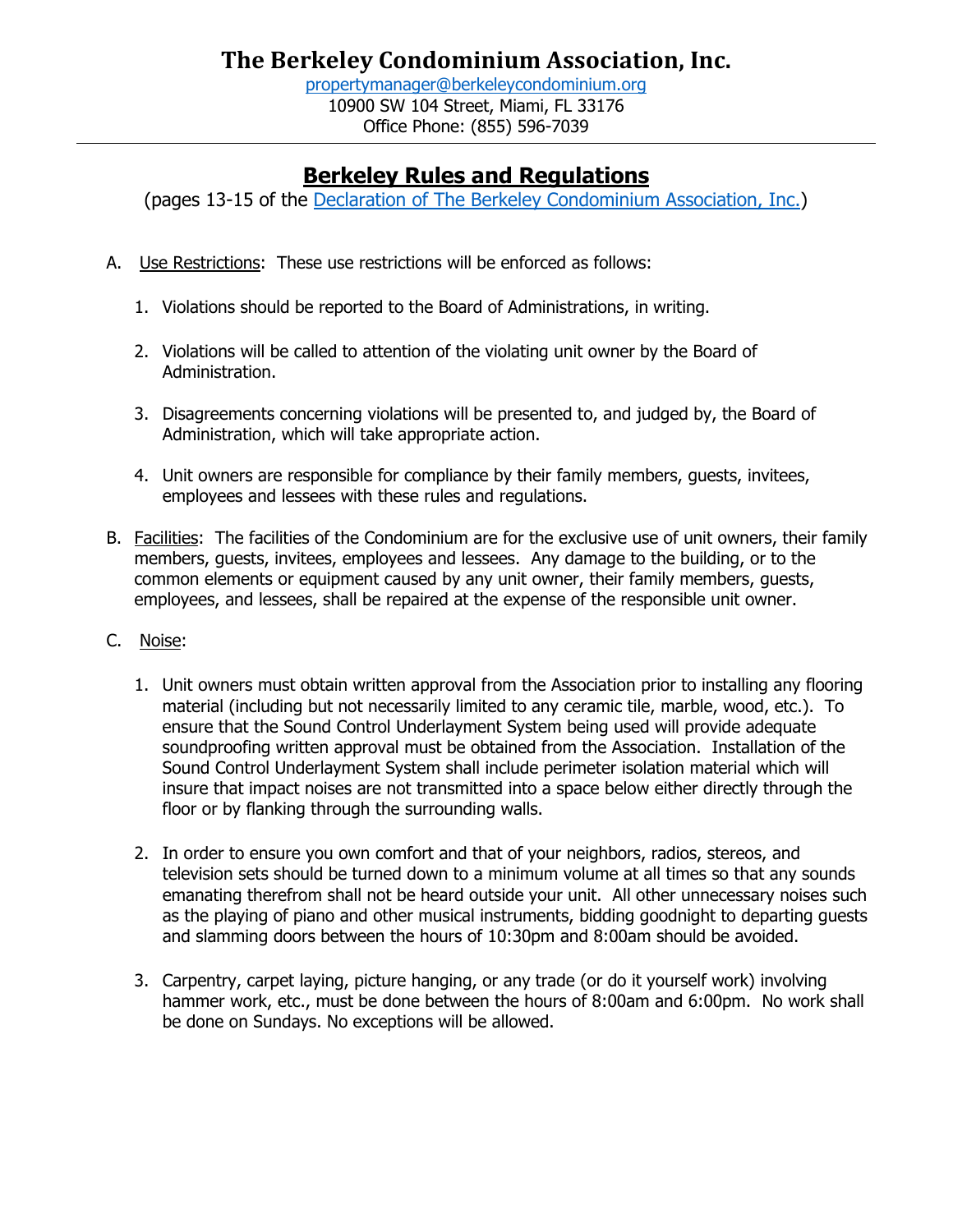# **Berkeley Rules and Regulations**

(pages 13-15 of the [Declaration of The Berkeley Condominium Association, Inc.\)](https://cdn.website-editor.net/c2a5f7b7e9b74e68aaccc60f75418cb6/files/uploaded/Berkeley%20Declaration%20of%20Condominium%20%282%29%20%281%29.pdf)

- A. Use Restrictions: These use restrictions will be enforced as follows:
	- 1. Violations should be reported to the Board of Administrations, in writing.
	- 2. Violations will be called to attention of the violating unit owner by the Board of Administration.
	- 3. Disagreements concerning violations will be presented to, and judged by, the Board of Administration, which will take appropriate action.
	- 4. Unit owners are responsible for compliance by their family members, guests, invitees, employees and lessees with these rules and regulations.
- B. Facilities: The facilities of the Condominium are for the exclusive use of unit owners, their family members, guests, invitees, employees and lessees. Any damage to the building, or to the common elements or equipment caused by any unit owner, their family members, guests, employees, and lessees, shall be repaired at the expense of the responsible unit owner.
- C. Noise:
	- 1. Unit owners must obtain written approval from the Association prior to installing any flooring material (including but not necessarily limited to any ceramic tile, marble, wood, etc.). To ensure that the Sound Control Underlayment System being used will provide adequate soundproofing written approval must be obtained from the Association. Installation of the Sound Control Underlayment System shall include perimeter isolation material which will insure that impact noises are not transmitted into a space below either directly through the floor or by flanking through the surrounding walls.
	- 2. In order to ensure you own comfort and that of your neighbors, radios, stereos, and television sets should be turned down to a minimum volume at all times so that any sounds emanating therefrom shall not be heard outside your unit. All other unnecessary noises such as the playing of piano and other musical instruments, bidding goodnight to departing guests and slamming doors between the hours of 10:30pm and 8:00am should be avoided.
	- 3. Carpentry, carpet laying, picture hanging, or any trade (or do it yourself work) involving hammer work, etc., must be done between the hours of 8:00am and 6:00pm. No work shall be done on Sundays. No exceptions will be allowed.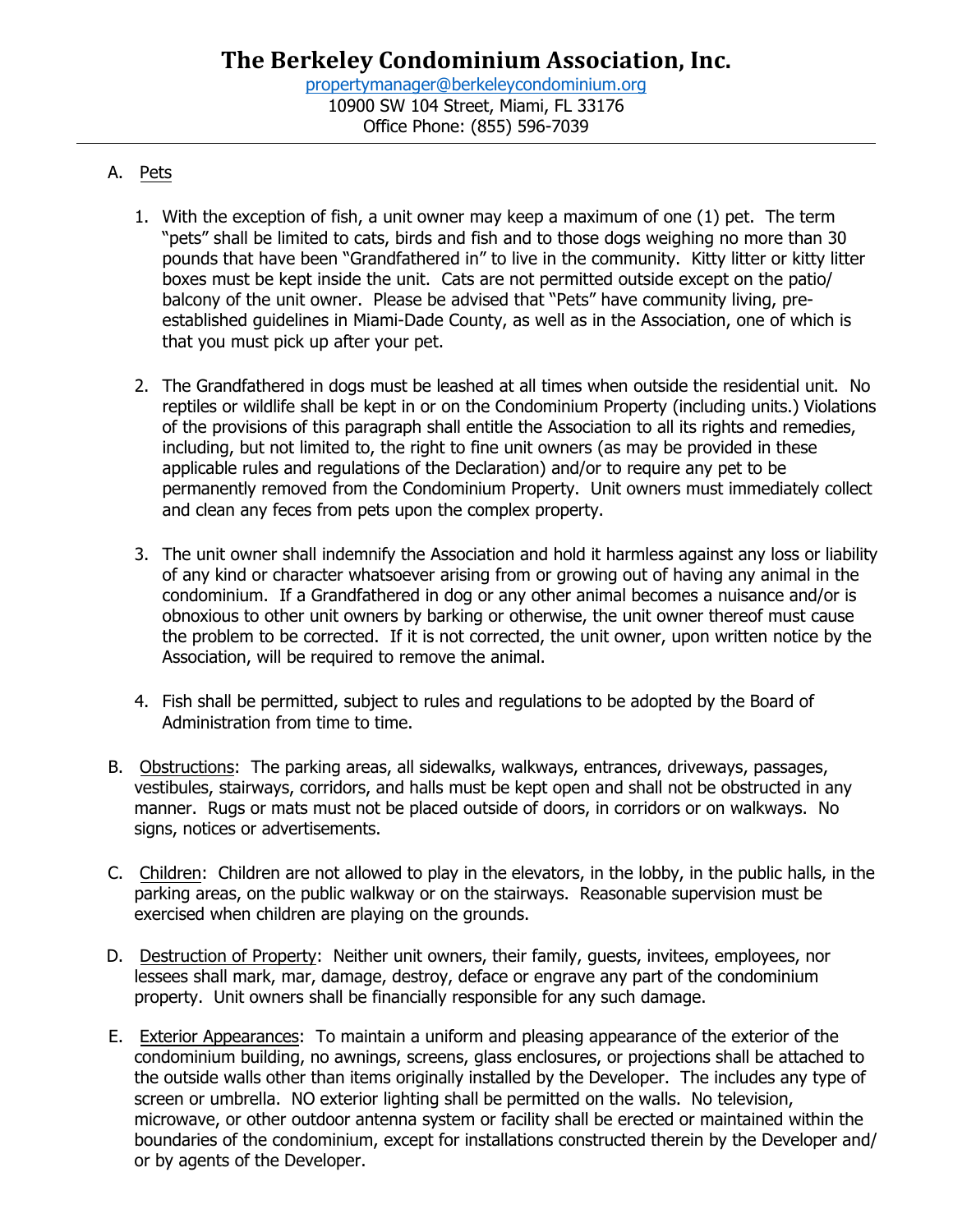### A. Pets

- 1. With the exception of fish, a unit owner may keep a maximum of one (1) pet. The term "pets" shall be limited to cats, birds and fish and to those dogs weighing no more than 30 pounds that have been "Grandfathered in" to live in the community. Kitty litter or kitty litter boxes must be kept inside the unit. Cats are not permitted outside except on the patio/ balcony of the unit owner. Please be advised that "Pets" have community living, preestablished guidelines in Miami-Dade County, as well as in the Association, one of which is that you must pick up after your pet.
- 2. The Grandfathered in dogs must be leashed at all times when outside the residential unit. No reptiles or wildlife shall be kept in or on the Condominium Property (including units.) Violations of the provisions of this paragraph shall entitle the Association to all its rights and remedies, including, but not limited to, the right to fine unit owners (as may be provided in these applicable rules and regulations of the Declaration) and/or to require any pet to be permanently removed from the Condominium Property. Unit owners must immediately collect and clean any feces from pets upon the complex property.
- 3. The unit owner shall indemnify the Association and hold it harmless against any loss or liability of any kind or character whatsoever arising from or growing out of having any animal in the condominium. If a Grandfathered in dog or any other animal becomes a nuisance and/or is obnoxious to other unit owners by barking or otherwise, the unit owner thereof must cause the problem to be corrected. If it is not corrected, the unit owner, upon written notice by the Association, will be required to remove the animal.
- 4. Fish shall be permitted, subject to rules and regulations to be adopted by the Board of Administration from time to time.
- B. Obstructions: The parking areas, all sidewalks, walkways, entrances, driveways, passages, vestibules, stairways, corridors, and halls must be kept open and shall not be obstructed in any manner. Rugs or mats must not be placed outside of doors, in corridors or on walkways. No signs, notices or advertisements.
- C. Children: Children are not allowed to play in the elevators, in the lobby, in the public halls, in the parking areas, on the public walkway or on the stairways. Reasonable supervision must be exercised when children are playing on the grounds.
- D. Destruction of Property: Neither unit owners, their family, guests, invitees, employees, nor lessees shall mark, mar, damage, destroy, deface or engrave any part of the condominium property. Unit owners shall be financially responsible for any such damage.
- E. Exterior Appearances: To maintain a uniform and pleasing appearance of the exterior of the condominium building, no awnings, screens, glass enclosures, or projections shall be attached to the outside walls other than items originally installed by the Developer. The includes any type of screen or umbrella. NO exterior lighting shall be permitted on the walls. No television, microwave, or other outdoor antenna system or facility shall be erected or maintained within the boundaries of the condominium, except for installations constructed therein by the Developer and/ or by agents of the Developer.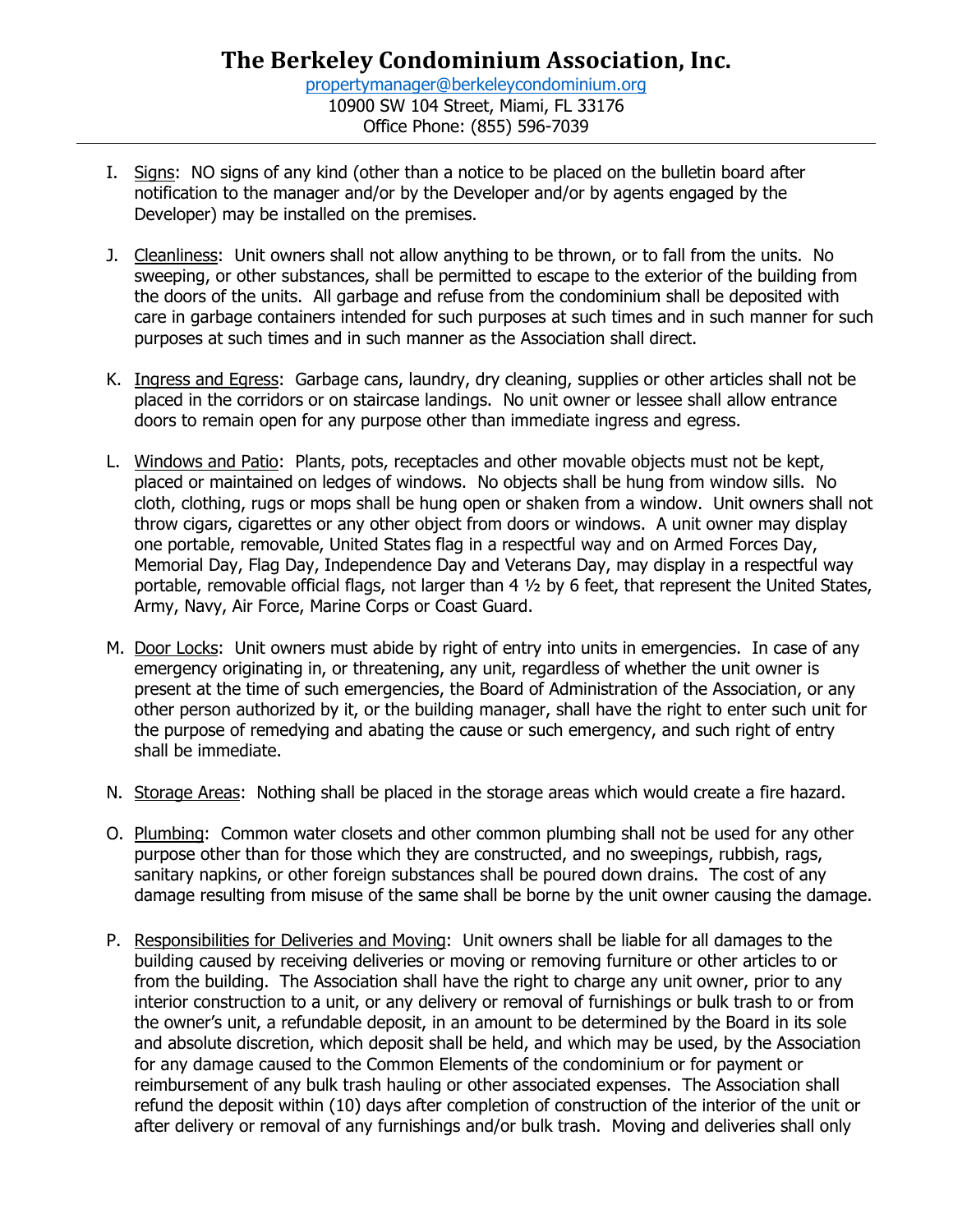- I. Signs: NO signs of any kind (other than a notice to be placed on the bulletin board after notification to the manager and/or by the Developer and/or by agents engaged by the Developer) may be installed on the premises.
- J. Cleanliness: Unit owners shall not allow anything to be thrown, or to fall from the units. No sweeping, or other substances, shall be permitted to escape to the exterior of the building from the doors of the units. All garbage and refuse from the condominium shall be deposited with care in garbage containers intended for such purposes at such times and in such manner for such purposes at such times and in such manner as the Association shall direct.
- K. Ingress and Egress: Garbage cans, laundry, dry cleaning, supplies or other articles shall not be placed in the corridors or on staircase landings. No unit owner or lessee shall allow entrance doors to remain open for any purpose other than immediate ingress and egress.
- L. Windows and Patio: Plants, pots, receptacles and other movable objects must not be kept, placed or maintained on ledges of windows. No objects shall be hung from window sills. No cloth, clothing, rugs or mops shall be hung open or shaken from a window. Unit owners shall not throw cigars, cigarettes or any other object from doors or windows. A unit owner may display one portable, removable, United States flag in a respectful way and on Armed Forces Day, Memorial Day, Flag Day, Independence Day and Veterans Day, may display in a respectful way portable, removable official flags, not larger than 4 ½ by 6 feet, that represent the United States, Army, Navy, Air Force, Marine Corps or Coast Guard.
- M. Door Locks: Unit owners must abide by right of entry into units in emergencies. In case of any emergency originating in, or threatening, any unit, regardless of whether the unit owner is present at the time of such emergencies, the Board of Administration of the Association, or any other person authorized by it, or the building manager, shall have the right to enter such unit for the purpose of remedying and abating the cause or such emergency, and such right of entry shall be immediate.
- N. Storage Areas: Nothing shall be placed in the storage areas which would create a fire hazard.
- O. Plumbing: Common water closets and other common plumbing shall not be used for any other purpose other than for those which they are constructed, and no sweepings, rubbish, rags, sanitary napkins, or other foreign substances shall be poured down drains. The cost of any damage resulting from misuse of the same shall be borne by the unit owner causing the damage.
- P. Responsibilities for Deliveries and Moving: Unit owners shall be liable for all damages to the building caused by receiving deliveries or moving or removing furniture or other articles to or from the building. The Association shall have the right to charge any unit owner, prior to any interior construction to a unit, or any delivery or removal of furnishings or bulk trash to or from the owner's unit, a refundable deposit, in an amount to be determined by the Board in its sole and absolute discretion, which deposit shall be held, and which may be used, by the Association for any damage caused to the Common Elements of the condominium or for payment or reimbursement of any bulk trash hauling or other associated expenses. The Association shall refund the deposit within (10) days after completion of construction of the interior of the unit or after delivery or removal of any furnishings and/or bulk trash. Moving and deliveries shall only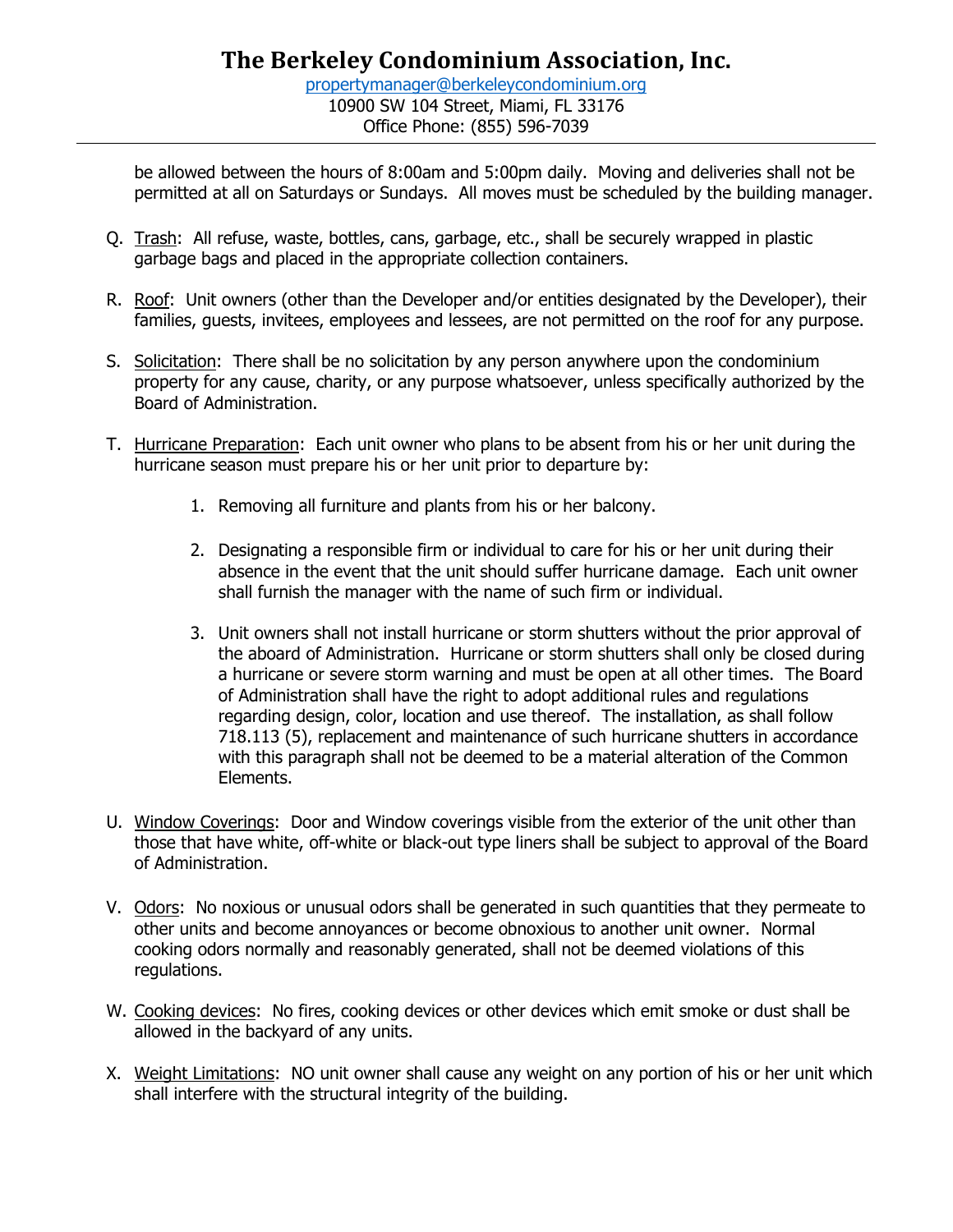be allowed between the hours of 8:00am and 5:00pm daily. Moving and deliveries shall not be permitted at all on Saturdays or Sundays. All moves must be scheduled by the building manager.

- Q. Trash: All refuse, waste, bottles, cans, garbage, etc., shall be securely wrapped in plastic garbage bags and placed in the appropriate collection containers.
- R. Roof: Unit owners (other than the Developer and/or entities designated by the Developer), their families, guests, invitees, employees and lessees, are not permitted on the roof for any purpose.
- S. Solicitation: There shall be no solicitation by any person anywhere upon the condominium property for any cause, charity, or any purpose whatsoever, unless specifically authorized by the Board of Administration.
- T. Hurricane Preparation: Each unit owner who plans to be absent from his or her unit during the hurricane season must prepare his or her unit prior to departure by:
	- 1. Removing all furniture and plants from his or her balcony.
	- 2. Designating a responsible firm or individual to care for his or her unit during their absence in the event that the unit should suffer hurricane damage. Each unit owner shall furnish the manager with the name of such firm or individual.
	- 3. Unit owners shall not install hurricane or storm shutters without the prior approval of the aboard of Administration. Hurricane or storm shutters shall only be closed during a hurricane or severe storm warning and must be open at all other times. The Board of Administration shall have the right to adopt additional rules and regulations regarding design, color, location and use thereof. The installation, as shall follow 718.113 (5), replacement and maintenance of such hurricane shutters in accordance with this paragraph shall not be deemed to be a material alteration of the Common Elements.
- U. Window Coverings: Door and Window coverings visible from the exterior of the unit other than those that have white, off-white or black-out type liners shall be subject to approval of the Board of Administration.
- V. Odors: No noxious or unusual odors shall be generated in such quantities that they permeate to other units and become annoyances or become obnoxious to another unit owner. Normal cooking odors normally and reasonably generated, shall not be deemed violations of this regulations.
- W. Cooking devices: No fires, cooking devices or other devices which emit smoke or dust shall be allowed in the backyard of any units.
- X. Weight Limitations: NO unit owner shall cause any weight on any portion of his or her unit which shall interfere with the structural integrity of the building.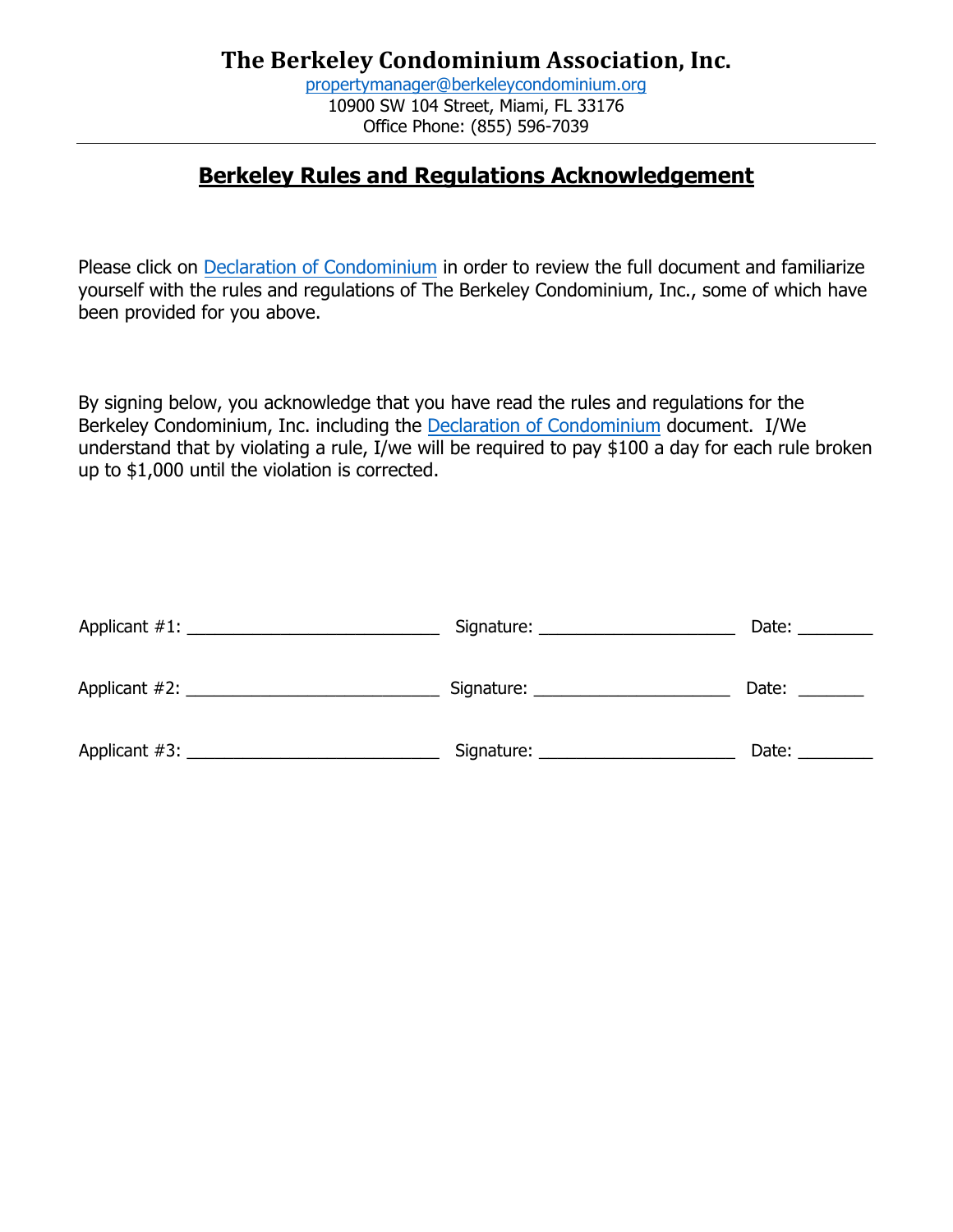# **Berkeley Rules and Regulations Acknowledgement**

Please click o[n Declaration of Condominium](https://cdn.website-editor.net/c2a5f7b7e9b74e68aaccc60f75418cb6/files/uploaded/Berkeley%20Declaration%20of%20Condominium%20%282%29%20%281%29.pdf) in order to review the full document and familiarize yourself with the rules and regulations of The Berkeley Condominium, Inc., some of which have been provided for you above.

By signing below, you acknowledge that you have read the rules and regulations for the Berkeley Condominium, Inc. including the [Declaration of Condominium](https://cdn.website-editor.net/c2a5f7b7e9b74e68aaccc60f75418cb6/files/uploaded/Berkeley%20Declaration%20of%20Condominium%20%282%29%20%281%29.pdf) document. I/We understand that by violating a rule, I/we will be required to pay \$100 a day for each rule broken up to \$1,000 until the violation is corrected.

| Applicant #1:    | Signature: | Date: |
|------------------|------------|-------|
| Applicant $#2$ : |            | Date: |
| Applicant $#3$ : | Signature: | Date: |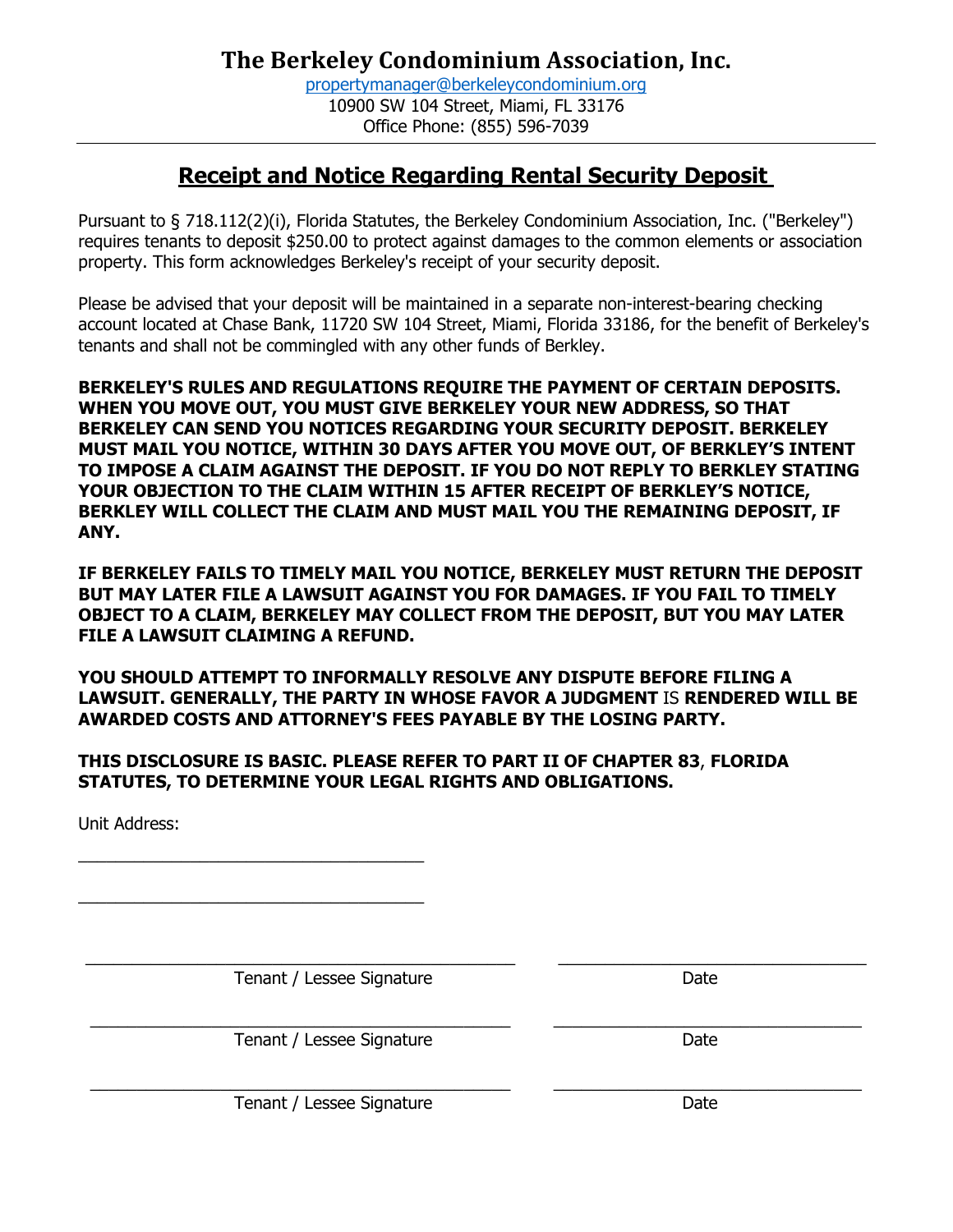# **Receipt and Notice Regarding Rental Security Deposit**

Pursuant to § 718.112(2)(i), Florida Statutes, the Berkeley Condominium Association, Inc. ("Berkeley") requires tenants to deposit \$250.00 to protect against damages to the common elements or association property. This form acknowledges Berkeley's receipt of your security deposit.

Please be advised that your deposit will be maintained in a separate non-interest-bearing checking account located at Chase Bank, 11720 SW 104 Street, Miami, Florida 33186, for the benefit of Berkeley's tenants and shall not be commingled with any other funds of Berkley.

**BERKELEY'S RULES AND REGULATIONS REQUIRE THE PAYMENT OF CERTAIN DEPOSITS. WHEN YOU MOVE OUT, YOU MUST GIVE BERKELEY YOUR NEW ADDRESS, SO THAT BERKELEY CAN SEND YOU NOTICES REGARDING YOUR SECURITY DEPOSIT. BERKELEY MUST MAIL YOU NOTICE, WITHIN 30 DAYS AFTER YOU MOVE OUT, OF BERKLEY'S INTENT TO IMPOSE A CLAIM AGAINST THE DEPOSIT. IF YOU DO NOT REPLY TO BERKLEY STATING YOUR OBJECTION TO THE CLAIM WITHIN 15 AFTER RECEIPT OF BERKLEY'S NOTICE, BERKLEY WILL COLLECT THE CLAIM AND MUST MAIL YOU THE REMAINING DEPOSIT, IF ANY.**

**IF BERKELEY FAILS TO TIMELY MAIL YOU NOTICE, BERKELEY MUST RETURN THE DEPOSIT BUT MAY LATER FILE A LAWSUIT AGAINST YOU FOR DAMAGES. IF YOU FAIL TO TIMELY OBJECT TO A CLAIM, BERKELEY MAY COLLECT FROM THE DEPOSIT, BUT YOU MAY LATER FILE A LAWSUIT CLAIMING A REFUND.**

**YOU SHOULD ATTEMPT TO INFORMALLY RESOLVE ANY DISPUTE BEFORE FILING A LAWSUIT. GENERALLY, THE PARTY IN WHOSE FAVOR A JUDGMENT** IS **RENDERED WILL BE AWARDED COSTS AND ATTORNEY'S FEES PAYABLE BY THE LOSING PARTY.**

#### **THIS DISCLOSURE IS BASIC. PLEASE REFER TO PART II OF CHAPTER 83**, **FLORIDA STATUTES, TO DETERMINE YOUR LEGAL RIGHTS AND OBLIGATIONS.**

Unit Address:

 $\_$  ,  $\_$  ,  $\_$  ,  $\_$  ,  $\_$  ,  $\_$  ,  $\_$  ,  $\_$  ,  $\_$  ,  $\_$  ,  $\_$  ,  $\_$  ,  $\_$  ,  $\_$  ,  $\_$  ,  $\_$  ,  $\_$  ,  $\_$  ,  $\_$  ,  $\_$  ,  $\_$  ,  $\_$  ,  $\_$  ,  $\_$  ,  $\_$  ,  $\_$  ,  $\_$  ,  $\_$  ,  $\_$  ,  $\_$  ,  $\_$  ,  $\_$  ,  $\_$  ,  $\_$  ,  $\_$  ,  $\_$  ,  $\_$  , Tenant / Lessee Signature Date

 $\mathcal{L}_\text{max}$  , and the set of the set of the set of the set of the set of the set of the set of the set of the set of the set of the set of the set of the set of the set of the set of the set of the set of the set of the

 $\mathcal{L}_\text{max}$  , and the set of the set of the set of the set of the set of the set of the set of the set of the set of the set of the set of the set of the set of the set of the set of the set of the set of the set of the

Tenant / Lessee Signature Date

Tenant / Lessee Signature data and the Date

 $\_$  ,  $\_$  ,  $\_$  ,  $\_$  ,  $\_$  ,  $\_$  ,  $\_$  ,  $\_$  ,  $\_$  ,  $\_$  ,  $\_$  ,  $\_$  ,  $\_$  ,  $\_$  ,  $\_$  ,  $\_$  ,  $\_$  ,  $\_$  ,  $\_$  ,  $\_$  ,  $\_$  ,  $\_$  ,  $\_$  ,  $\_$  ,  $\_$  ,  $\_$  ,  $\_$  ,  $\_$  ,  $\_$  ,  $\_$  ,  $\_$  ,  $\_$  ,  $\_$  ,  $\_$  ,  $\_$  ,  $\_$  ,  $\_$  ,

 $\_$  ,  $\_$  ,  $\_$  ,  $\_$  ,  $\_$  ,  $\_$  ,  $\_$  ,  $\_$  ,  $\_$  ,  $\_$  ,  $\_$  ,  $\_$  ,  $\_$  ,  $\_$  ,  $\_$  ,  $\_$  ,  $\_$  ,  $\_$  ,  $\_$  ,  $\_$  ,  $\_$  ,  $\_$  ,  $\_$  ,  $\_$  ,  $\_$  ,  $\_$  ,  $\_$  ,  $\_$  ,  $\_$  ,  $\_$  ,  $\_$  ,  $\_$  ,  $\_$  ,  $\_$  ,  $\_$  ,  $\_$  ,  $\_$  ,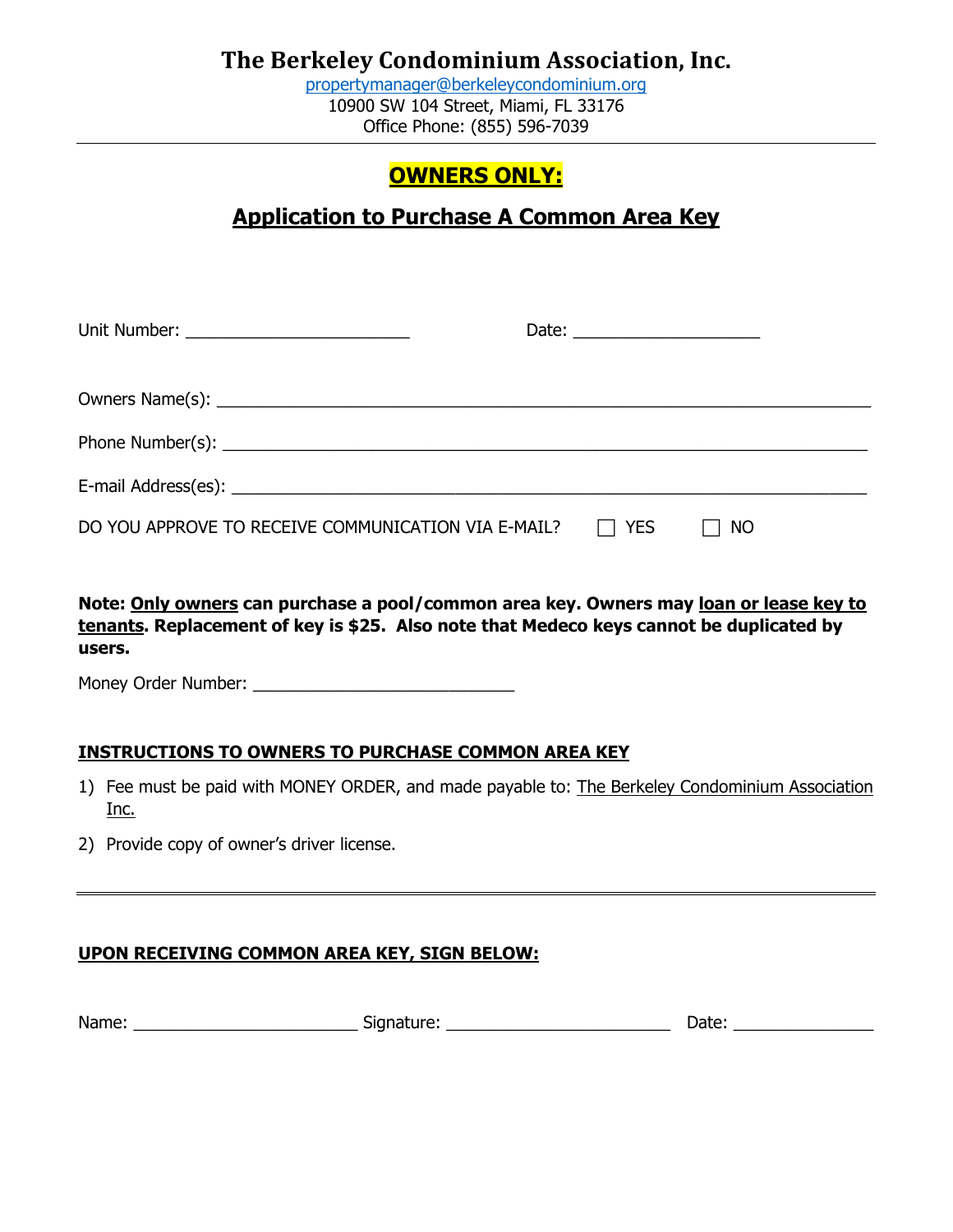[propertymanager@berkeleycondominium.org](mailto:propertymanager@berkeleycondominium.org) 10900 SW 104 Street, Miami, FL 33176 Office Phone: (855) 596-7039

# **OWNERS ONLY:**

# **Application to Purchase A Common Area Key**

| Unit Number: _______________________________               | Date: _______________________ |  |
|------------------------------------------------------------|-------------------------------|--|
|                                                            |                               |  |
|                                                            |                               |  |
|                                                            |                               |  |
| DO YOU APPROVE TO RECEIVE COMMUNICATION VIA E-MAIL? $\Box$ | YES<br>$\Box$ NO              |  |

**Note: Only owners can purchase a pool/common area key. Owners may loan or lease key to tenants. Replacement of key is \$25. Also note that Medeco keys cannot be duplicated by users.**

Money Order Number: \_\_\_\_\_\_\_\_\_\_\_\_\_\_\_\_\_\_\_\_\_\_\_\_\_\_\_\_

### **INSTRUCTIONS TO OWNERS TO PURCHASE COMMON AREA KEY**

- 1) Fee must be paid with MONEY ORDER, and made payable to: The Berkeley Condominium Association Inc.
- 2) Provide copy of owner's driver license.

### **UPON RECEIVING COMMON AREA KEY, SIGN BELOW:**

| Name: | SKINALLIF<br>. . | лате |
|-------|------------------|------|
|       |                  |      |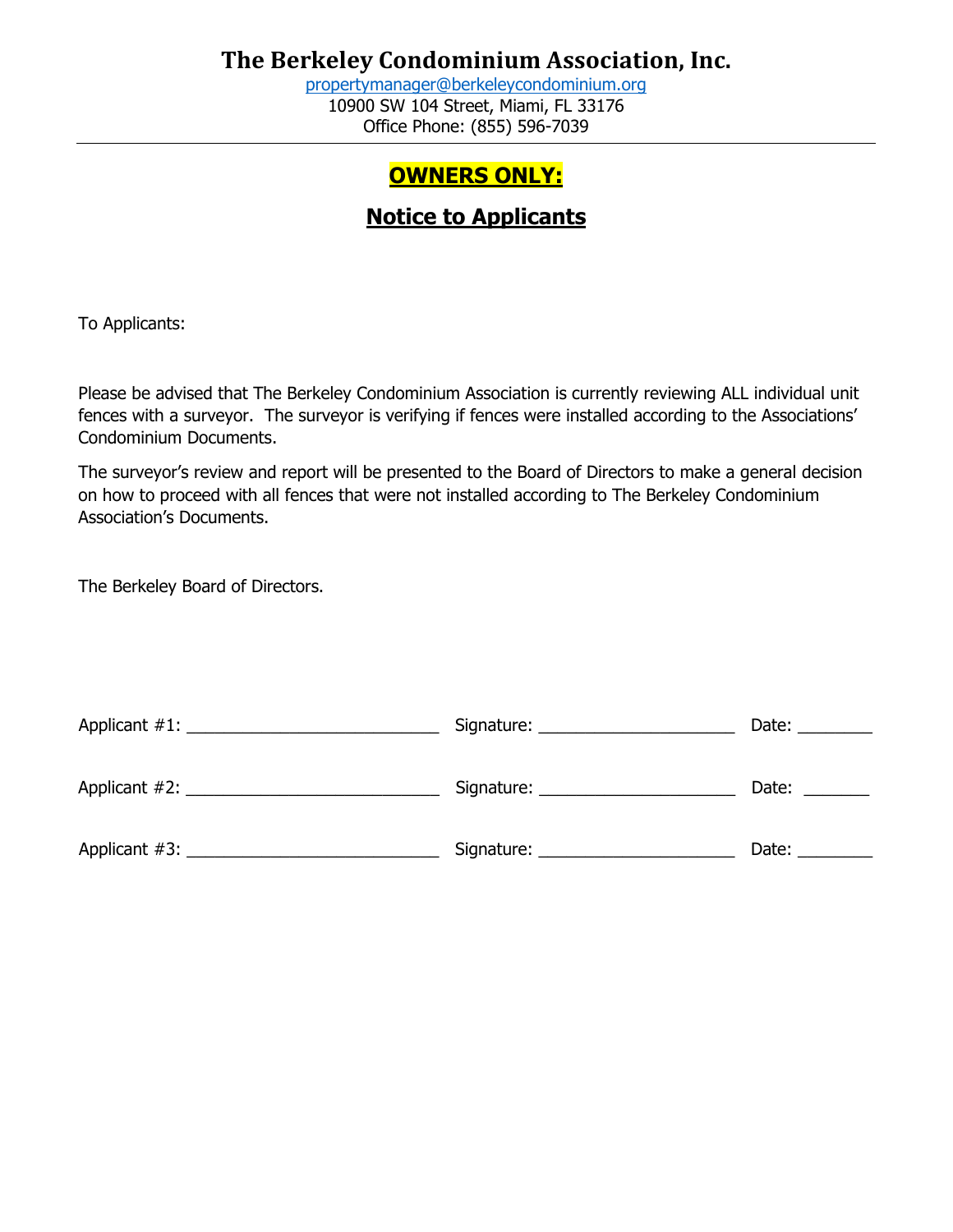[propertymanager@berkeleycondominium.org](mailto:propertymanager@berkeleycondominium.org) 10900 SW 104 Street, Miami, FL 33176 Office Phone: (855) 596-7039

# **OWNERS ONLY:**

# **Notice to Applicants**

To Applicants:

Please be advised that The Berkeley Condominium Association is currently reviewing ALL individual unit fences with a surveyor. The surveyor is verifying if fences were installed according to the Associations' Condominium Documents.

The surveyor's review and report will be presented to the Board of Directors to make a general decision on how to proceed with all fences that were not installed according to The Berkeley Condominium Association's Documents.

The Berkeley Board of Directors.

|               | Date: |
|---------------|-------|
| Applicant #2: | Date: |
|               | Date: |